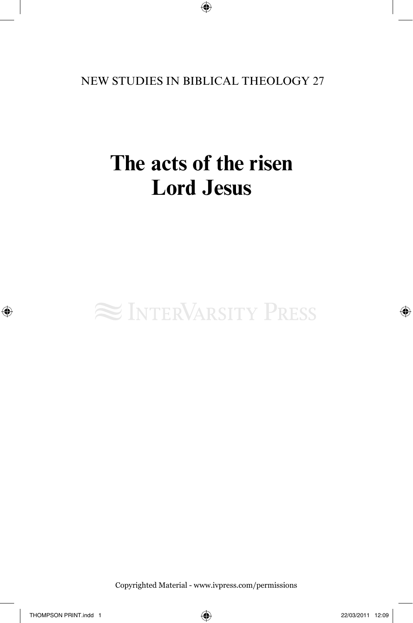NEW STUDIES IN BIBLICAL THEOLOGY 27

⊕

# **The acts of the risen Lord Jesus**



Copyrighted Material - www.ivpress.com/permissions

◈

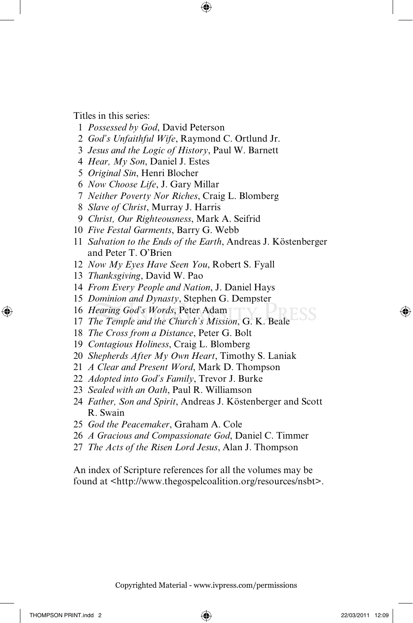Titles in this series:

- *Possessed by God*, David Peterson
- *God's Unfaithful Wife*, Raymond C. Ortlund Jr.
- *Jesus and the Logic of History*, Paul W. Barnett
- *Hear, My Son*, Daniel J. Estes
- *Original Sin*, Henri Blocher
- *Now Choose Life*, J. Gary Millar
- *Neither Poverty Nor Riches*, Craig L. Blomberg
- *Slave of Christ*, Murray J. Harris
- *Christ, Our Righteousness*, Mark A. Seifrid
- *Five Festal Garments*, Barry G. Webb
- *Salvation to the Ends of the Earth*, Andreas J. Köstenberger and Peter T. O'Brien

⊕

- *Now My Eyes Have Seen You*, Robert S. Fyall
- *Thanksgiving*, David W. Pao
- *From Every People and Nation*, J. Daniel Hays
- *Dominion and Dynasty*, Stephen G. Dempster
- *Hearing God's Words*, Peter Adam
- *The Temple and the Church's Mission*, G. K. Beale
- *The Cross from a Distance*, Peter G. Bolt
- *Contagious Holiness*, Craig L. Blomberg
- *Shepherds After My Own Heart*, Timothy S. Laniak
- *A Clear and Present Word*, Mark D. Thompson
- *Adopted into God's Family*, Trevor J. Burke
- *Sealed with an Oath*, Paul R. Williamson
- *Father, Son and Spirit*, Andreas J. Köstenberger and Scott R. Swain
- *God the Peacemaker*, Graham A. Cole
- *A Gracious and Compassionate God*, Daniel C. Timmer
- *The Acts of the Risen Lord Jesus*, Alan J. Thompson

An index of Scripture references for all the volumes may be found at <http://www.thegospelcoalition.org/resources/nsbt>.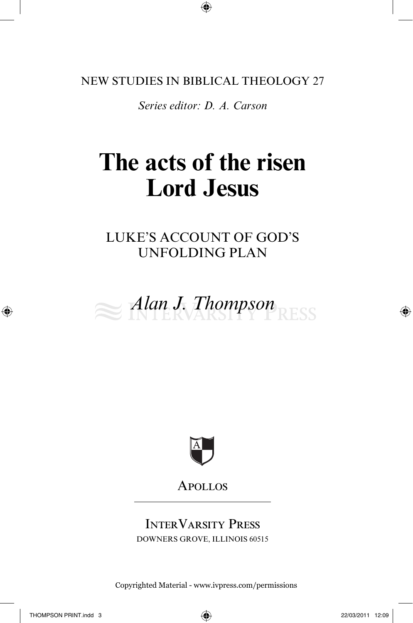NEW STUDIES IN BIBLICAL THEOLOGY 27

⊕

*Series editor: D. A. Carson*

# **The acts of the risen Lord Jesus**

LUKE'S ACCOUNT OF GOD'S UNFOLDING PLAN





**APOLLOS** 

## InterVarsity Press

DOWNERS GROVE, ILLINOIS 60515

Copyrighted Material - www.ivpress.com/permissions

⊕

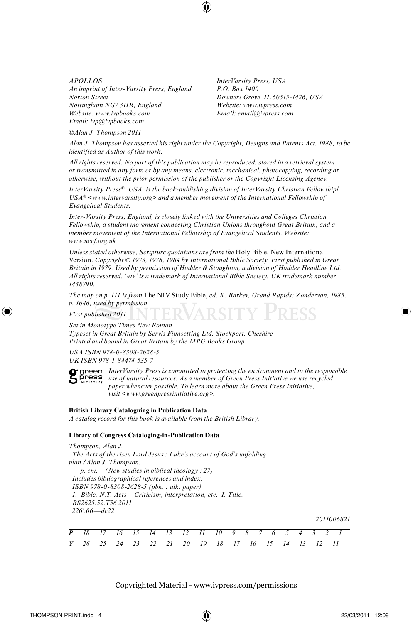*APOLLOS InterVarsity Press, USA An imprint of Inter-Varsity Press, England Norton Street Downers Grove, IL 60515-1426, USA Nottingham NG7 3HR, England Website: www.ivpress.com Website: www.ivpbooks.com Email: email@ivpress.com Email: ivp@ivpbooks.com*

*©Alan J. Thompson 2011*

*Alan J. Thompson has asserted his right under the Copyright, Designs and Patents Act, 1988, to be identified as Author of this work.*

*All rights reserved. No part of this publication may be reproduced, stored in a retrieval system or transmitted in any form or by any means, electronic, mechanical, photocopying, recording or otherwise, without the prior permission of the publisher or the Copyright Licensing Agency.*

*InterVarsity Press®, USA, is the book-publishing division of InterVarsity Christian Fellowship/ USA® <www.intervarsity.org> and a member movement of the International Fellowship of Evangelical Students.* 

*Inter-Varsity Press, England, is closely linked with the Universities and Colleges Christian Fellowship, a student movement connecting Christian Unions throughout Great Britain, and a member movement of the International Fellowship of Evangelical Students. Website: www.uccf.org.uk*

*Unless stated otherwise, Scripture quotations are from the* Holy Bible, New International Version. *Copyright © 1973, 1978, 1984 by International Bible Society. First published in Great Britain in 1979. Used by permission of Hodder & Stoughton, a division of Hodder Headline Ltd. All rights reserved. 'NIV' is a trademark of International Bible Society. UK trademark number 1448790.*

*The map on p. 111 is from* The NIV Study Bible, *ed. K. Barker, Grand Rapids: Zondervan, 1985, p. 1646; used by permission.*

*First published 2011.*

*Set in Monotype Times New Roman Typeset in Great Britain by Servis Filmsetting Ltd, Stockport, Cheshire Printed and bound in Great Britain by the MPG Books Group*

*USA ISBN 978-0-8308-2628-5 UK ISBN 978-1-84474-535-7*



⊕

*InterVarsity Press is committed to protecting the environment and to the responsible*  õress *use of natural resources. As a member of Green Press Initiative we use recycled paper whenever possible. To learn more about the Green Press Initiative, visit <www.greenpressinitiative.org>.*

**British Library Cataloguing in Publication Data** *A catalog record for this book is available from the British Library.*

*Library of Congress Cataloging-in-Publication Data*  $\frac{1}{2}$  **Congress Cataloging-** *The Acts of the risen Lord Jesus : Luke's account of God's unfolding plan / Alan J. Thompson. p. cm.—(New studies in biblical theology ; 27) Includes bibliographical references and index. ISBN 978-0-8308-2628-5 (pbk. : alk. paper) 1. Bible. N.T. Acts—Criticism, interpretation, etc. I. Title. BS2625.52.T56 2011 226'.06—dc22 2011006821*

|  |  |  |  |  |  | <b>P</b> 18 17 16 15 14 13 12 11 10 9 8 7 6 5 4 3 2 1 |  |  |  |
|--|--|--|--|--|--|-------------------------------------------------------|--|--|--|
|  |  |  |  |  |  | Y 26 25 24 23 22 21 20 19 18 17 16 15 14 13 12 11     |  |  |  |

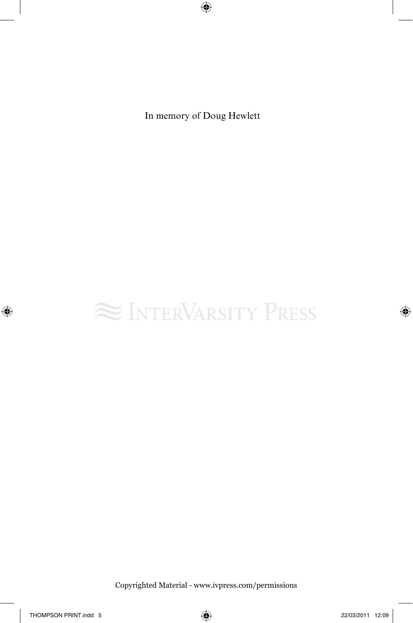$\bigoplus$ 

In memory of Doug Hewlett

# **EXAMPLE INTERVARSITY PRESS**

Copyrighted Material - www.ivpress.com/permissions

⊕

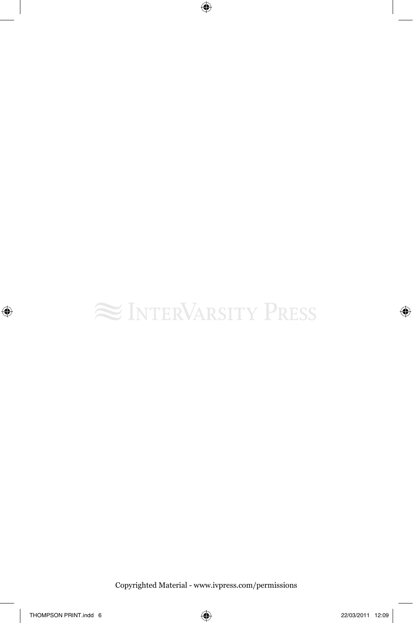# **EXAMPLE INTERVARSITY PRESS**

 $\bigoplus$ 

Copyrighted Material - www.ivpress.com/permissions

 $\bigoplus$ 

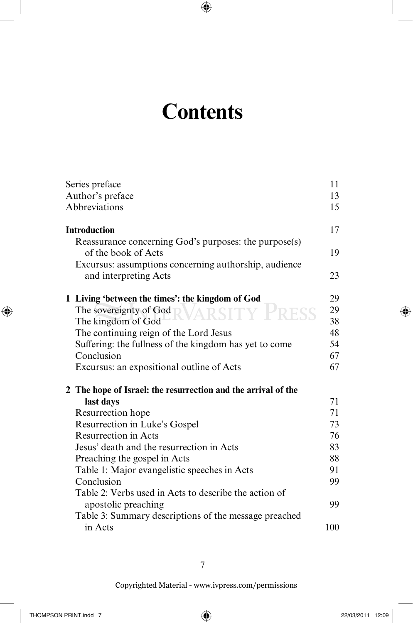## **Contents**

 $\bigoplus$ 

| Series preface                                                | 11  |
|---------------------------------------------------------------|-----|
| Author's preface                                              | 13  |
| Abbreviations                                                 | 15  |
|                                                               |     |
| <b>Introduction</b>                                           | 17  |
| Reassurance concerning God's purposes: the purpose(s)         |     |
| of the book of Acts                                           | 19  |
| Excursus: assumptions concerning authorship, audience         |     |
| and interpreting Acts                                         | 23  |
| 1 Living 'between the times': the kingdom of God              | 29  |
| The sovereignty of God<br><b>SITY PRESS</b>                   | 29  |
| The kingdom of God                                            | 38  |
| The continuing reign of the Lord Jesus                        | 48  |
| Suffering: the fullness of the kingdom has yet to come        | 54  |
| Conclusion                                                    | 67  |
| Excursus: an expositional outline of Acts                     | 67  |
| 2 The hope of Israel: the resurrection and the arrival of the |     |
| last days                                                     | 71  |
| Resurrection hope                                             | 71  |
| Resurrection in Luke's Gospel                                 | 73  |
| Resurrection in Acts                                          | 76  |
| Jesus' death and the resurrection in Acts                     | 83  |
| Preaching the gospel in Acts                                  | 88  |
| Table 1: Major evangelistic speeches in Acts                  | 91  |
| Conclusion                                                    | 99  |
| Table 2: Verbs used in Acts to describe the action of         |     |
| apostolic preaching                                           | 99  |
| Table 3: Summary descriptions of the message preached         |     |
| in Acts                                                       | 100 |

## Copyrighted Material - www.ivpress.com/permissions

 $\bigoplus$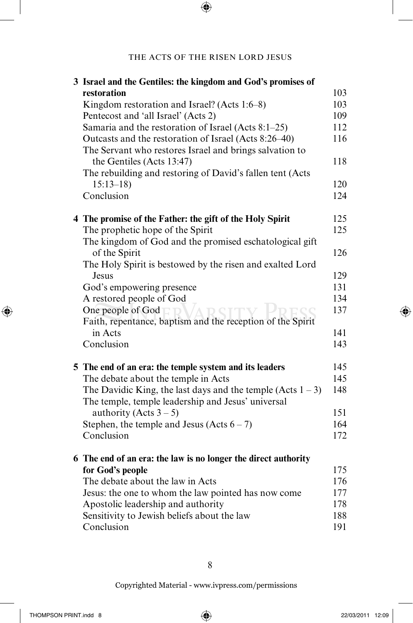$\bigoplus$ 

| 3 Israel and the Gentiles: the kingdom and God's promises of   |     |
|----------------------------------------------------------------|-----|
| restoration                                                    | 103 |
| Kingdom restoration and Israel? (Acts 1:6–8)                   | 103 |
| Pentecost and 'all Israel' (Acts 2)                            | 109 |
| Samaria and the restoration of Israel (Acts $8:1-25$ )         | 112 |
| Outcasts and the restoration of Israel (Acts 8:26-40)          | 116 |
| The Servant who restores Israel and brings salvation to        |     |
| the Gentiles (Acts 13:47)                                      | 118 |
| The rebuilding and restoring of David's fallen tent (Acts      |     |
| $15:13-18$                                                     | 120 |
| Conclusion                                                     | 124 |
| 4 The promise of the Father: the gift of the Holy Spirit       | 125 |
| The prophetic hope of the Spirit                               | 125 |
| The kingdom of God and the promised eschatological gift        |     |
| of the Spirit                                                  | 126 |
| The Holy Spirit is bestowed by the risen and exalted Lord      |     |
| <b>Jesus</b>                                                   | 129 |
| God's empowering presence                                      | 131 |
| A restored people of God                                       | 134 |
| One people of God                                              | 137 |
| Faith, repentance, baptism and the reception of the Spirit     |     |
| in Acts                                                        | 141 |
| Conclusion                                                     | 143 |
| 5 The end of an era: the temple system and its leaders         | 145 |
| The debate about the temple in Acts                            | 145 |
| The Davidic King, the last days and the temple $(Acts 1 – 3)$  | 148 |
| The temple, temple leadership and Jesus' universal             |     |
| authority (Acts $3-5$ )                                        | 151 |
| Stephen, the temple and Jesus (Acts $6 - 7$ )                  | 164 |
| Conclusion                                                     | 172 |
| 6 The end of an era: the law is no longer the direct authority |     |
| for God's people                                               | 175 |
| The debate about the law in Acts                               | 176 |
| Jesus: the one to whom the law pointed has now come            | 177 |
| Apostolic leadership and authority                             | 178 |
| Sensitivity to Jewish beliefs about the law                    | 188 |
| Conclusion                                                     | 191 |

8

 $\bigoplus$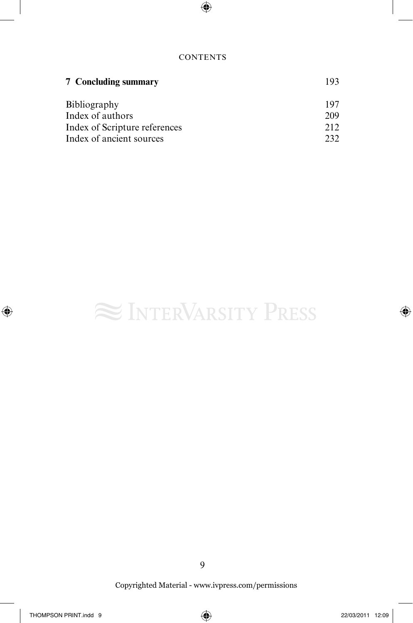### **CONTENTS**

 $\bigoplus$ 

| 7 Concluding summary          | 193 |
|-------------------------------|-----|
| Bibliography                  | 197 |
| Index of authors              | 209 |
| Index of Scripture references | 212 |
| Index of ancient sources      | 232 |

# **EXAMPLE INTERVARSITY PRESS**

9

⊕

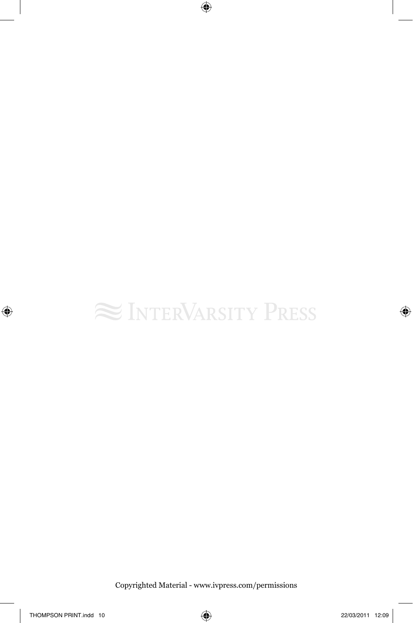# **EXAMPLE INTERVARSITY PRESS**

 $\bigoplus$ 

Copyrighted Material - www.ivpress.com/permissions

 $\bigoplus$ 

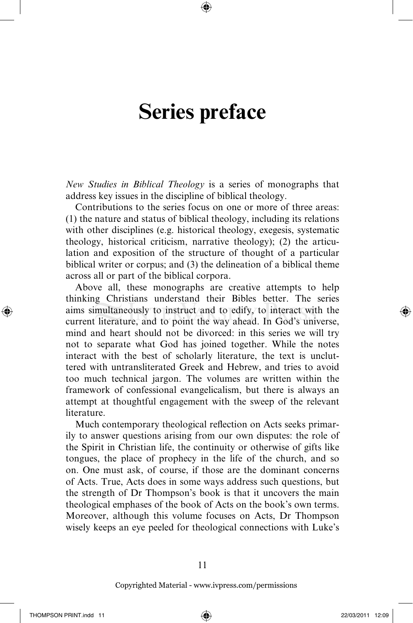## **Series preface**

⊕

*New Studies in Biblical Theology* is a series of monographs that address key issues in the discipline of biblical theology.

Contributions to the series focus on one or more of three areas: (1) the nature and status of biblical theology, including its relations with other disciplines (e.g. historical theology, exegesis, systematic theology, historical criticism, narrative theology); (2) the articulation and exposition of the structure of thought of a particular biblical writer or corpus; and (3) the delineation of a biblical theme across all or part of the biblical corpora.

Above all, these monographs are creative attempts to help thinking Christians understand their Bibles better. The series aims simultaneously to instruct and to edify, to interact with the current literature, and to point the way ahead. In God's universe, mind and heart should not be divorced: in this series we will try not to separate what God has joined together. While the notes interact with the best of scholarly literature, the text is uncluttered with untransliterated Greek and Hebrew, and tries to avoid too much technical jargon. The volumes are written within the framework of confessional evangelicalism, but there is always an attempt at thoughtful engagement with the sweep of the relevant literature.

Much contemporary theological reflection on Acts seeks primarily to answer questions arising from our own disputes: the role of the Spirit in Christian life, the continuity or otherwise of gifts like tongues, the place of prophecy in the life of the church, and so on. One must ask, of course, if those are the dominant concerns of Acts. True, Acts does in some ways address such questions, but the strength of Dr Thompson's book is that it uncovers the main theological emphases of the book of Acts on the book's own terms. Moreover, although this volume focuses on Acts, Dr Thompson wisely keeps an eye peeled for theological connections with Luke's

11

◈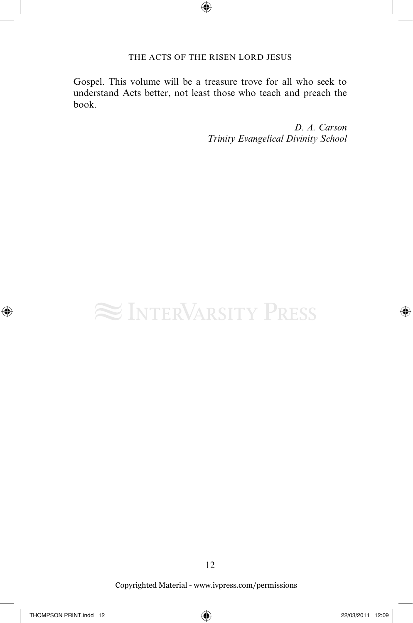$\bigoplus$ 

Gospel. This volume will be a treasure trove for all who seek to understand Acts better, not least those who teach and preach the book.

> *D. A. Carson Trinity Evangelical Divinity School*



12

◈

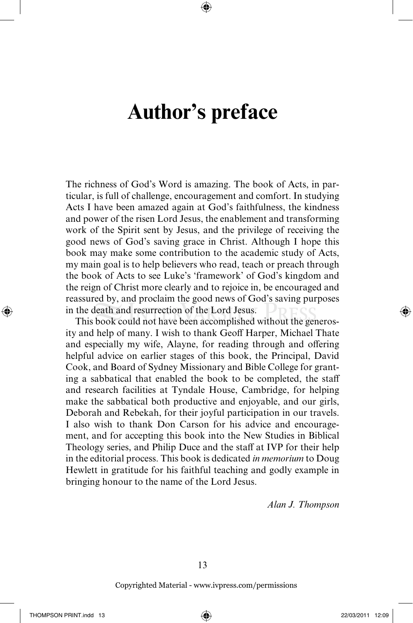## **Author's preface**

⊕

The richness of God's Word is amazing. The book of Acts, in particular, is full of challenge, encouragement and comfort. In studying Acts I have been amazed again at God's faithfulness, the kindness and power of the risen Lord Jesus, the enablement and transforming work of the Spirit sent by Jesus, and the privilege of receiving the good news of God's saving grace in Christ. Although I hope this book may make some contribution to the academic study of Acts, my main goal is to help believers who read, teach or preach through the book of Acts to see Luke's 'framework' of God's kingdom and the reign of Christ more clearly and to rejoice in, be encouraged and reassured by, and proclaim the good news of God's saving purposes in the death and resurrection of the Lord Jesus.

This book could not have been accomplished without the generosity and help of many. I wish to thank Geoff Harper, Michael Thate and especially my wife, Alayne, for reading through and offering helpful advice on earlier stages of this book, the Principal, David Cook, and Board of Sydney Missionary and Bible College for granting a sabbatical that enabled the book to be completed, the staff and research facilities at Tyndale House, Cambridge, for helping make the sabbatical both productive and enjoyable, and our girls, Deborah and Rebekah, for their joyful participation in our travels. I also wish to thank Don Carson for his advice and encouragement, and for accepting this book into the New Studies in Biblical Theology series, and Philip Duce and the staff at IVP for their help in the editorial process. This book is dedicated *in memorium* to Doug Hewlett in gratitude for his faithful teaching and godly example in bringing honour to the name of the Lord Jesus.

*Alan J. Thompson*

13

◈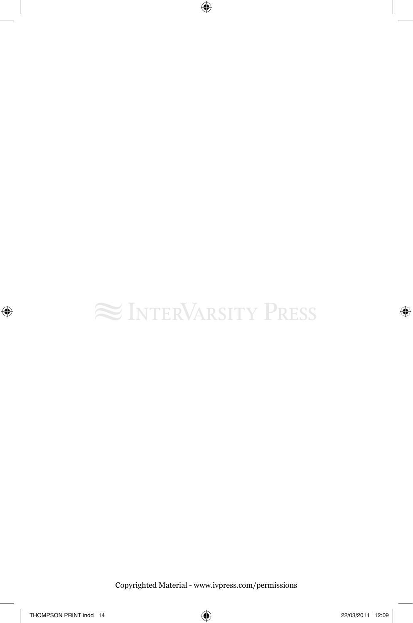# **EXAMPLE INTERVARSITY PRESS**

 $\bigoplus$ 

Copyrighted Material - www.ivpress.com/permissions

 $\bigoplus$ 

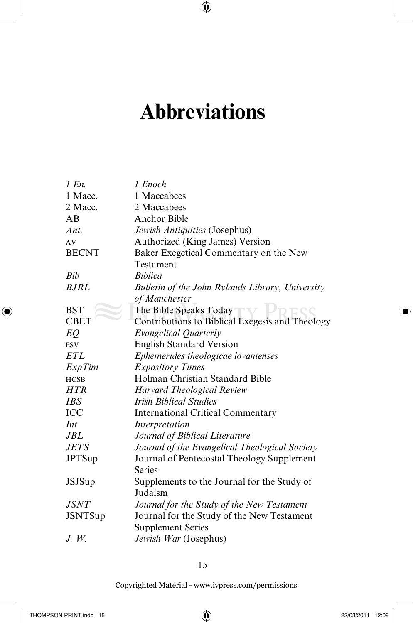## **Abbreviations**

 $\bigoplus$ 

| $1$ En.        | 1 Enoch                                          |
|----------------|--------------------------------------------------|
| 1 Macc.        | 1 Maccabees                                      |
| 2 Macc.        | 2 Maccabees                                      |
| AB             | Anchor Bible                                     |
| Ant.           | Jewish Antiquities (Josephus)                    |
| AV             | Authorized (King James) Version                  |
| <b>BECNT</b>   | Baker Exegetical Commentary on the New           |
|                | Testament                                        |
| <b>Bib</b>     | <b>Biblica</b>                                   |
| B.JRL          | Bulletin of the John Rylands Library, University |
|                | of Manchester                                    |
| <b>BST</b>     | The Bible Speaks Today                           |
| <b>CBET</b>    | Contributions to Biblical Exegesis and Theology  |
| EQ             | Evangelical Quarterly                            |
| <b>ESV</b>     | <b>English Standard Version</b>                  |
| <b>ETL</b>     | Ephemerides theologicae lovanienses              |
| ExpTim         | <b>Expository Times</b>                          |
| <b>HCSB</b>    | Holman Christian Standard Bible                  |
| <b>HTR</b>     | <b>Harvard Theological Review</b>                |
| <b>IBS</b>     | Irish Biblical Studies                           |
| ICC            | <b>International Critical Commentary</b>         |
| Int            | Interpretation                                   |
| JBL            | Journal of Biblical Literature                   |
| <b>JETS</b>    | Journal of the Evangelical Theological Society   |
| <b>JPTSup</b>  | Journal of Pentecostal Theology Supplement       |
|                | <b>Series</b>                                    |
| <b>JSJSup</b>  | Supplements to the Journal for the Study of      |
|                | Judaism                                          |
| <i>JSNT</i>    | Journal for the Study of the New Testament       |
| <b>JSNTSup</b> | Journal for the Study of the New Testament       |
|                | <b>Supplement Series</b>                         |
| $J_{\cdot}$ W. | Jewish War (Josephus)                            |

## 15

## Copyrighted Material - www.ivpress.com/permissions

 $\bigoplus$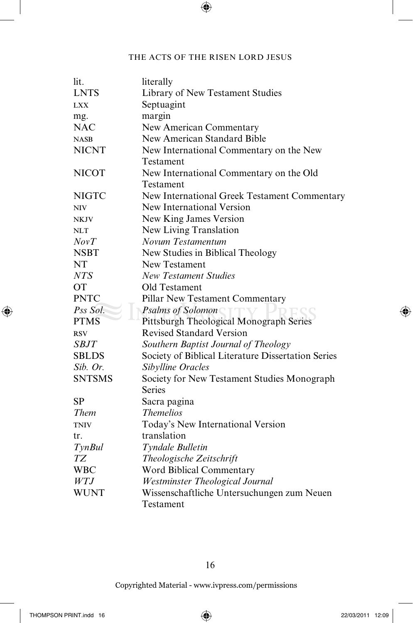$\bigoplus$ 

| lit.          | literally                                          |
|---------------|----------------------------------------------------|
| <b>LNTS</b>   | Library of New Testament Studies                   |
| <b>LXX</b>    | Septuagint                                         |
| mg.           | margin                                             |
| <b>NAC</b>    | New American Commentary                            |
| <b>NASB</b>   | New American Standard Bible                        |
| <b>NICNT</b>  | New International Commentary on the New            |
|               | Testament                                          |
| <b>NICOT</b>  | New International Commentary on the Old            |
|               | Testament                                          |
| <b>NIGTC</b>  | New International Greek Testament Commentary       |
| <b>NIV</b>    | New International Version                          |
| NKJV          | New King James Version                             |
| NLT           | New Living Translation                             |
| NovT          | Novum Testamentum                                  |
| NSBT          | New Studies in Biblical Theology                   |
| <b>NT</b>     | <b>New Testament</b>                               |
| <b>NTS</b>    | <b>New Testament Studies</b>                       |
| <b>OT</b>     | Old Testament                                      |
| <b>PNTC</b>   | Pillar New Testament Commentary                    |
| Pss Sol.      | <b>Psalms of Solomon</b>                           |
| <b>PTMS</b>   | Pittsburgh Theological Monograph Series            |
| <b>RSV</b>    | <b>Revised Standard Version</b>                    |
| <i>SBJT</i>   | Southern Baptist Journal of Theology               |
| <b>SBLDS</b>  | Society of Biblical Literature Dissertation Series |
| Sib. Or.      | Sibylline Oracles                                  |
| <b>SNTSMS</b> | Society for New Testament Studies Monograph        |
|               | Series                                             |
| <b>SP</b>     | Sacra pagina                                       |
| <b>Them</b>   | <i>Themelios</i>                                   |
| <b>TNIV</b>   | Today's New International Version                  |
| tr.           | translation                                        |
| TynBul        | Tyndale Bulletin                                   |
| TZ            | Theologische Zeitschrift                           |
| <b>WBC</b>    | Word Biblical Commentary                           |
| WTJ           | Westminster Theological Journal                    |
| <b>WUNT</b>   | Wissenschaftliche Untersuchungen zum Neuen         |
|               | Testament                                          |

16

 $\bigoplus$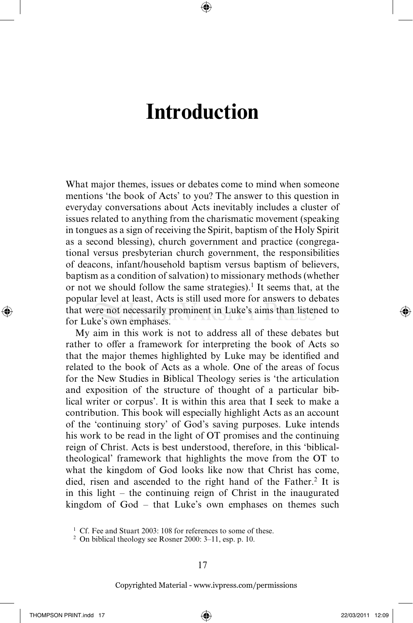## **Introduction**

⊕

What major themes, issues or debates come to mind when someone mentions 'the book of Acts' to you? The answer to this question in everyday conversations about Acts inevitably includes a cluster of issues related to anything from the charismatic movement (speaking in tongues as a sign of receiving the Spirit, baptism of the Holy Spirit as a second blessing), church government and practice (congregational versus presbyterian church government, the responsibilities of deacons, infant/household baptism versus baptism of believers, baptism as a condition of salvation) to missionary methods (whether or not we should follow the same strategies).<sup>1</sup> It seems that, at the popular level at least, Acts is still used more for answers to debates that were not necessarily prominent in Luke's aims than listened to for Luke's own emphases.

My aim in this work is not to address all of these debates but rather to offer a framework for interpreting the book of Acts so that the major themes highlighted by Luke may be identified and related to the book of Acts as a whole. One of the areas of focus for the New Studies in Biblical Theology series is 'the articulation and exposition of the structure of thought of a particular biblical writer or corpus'. It is within this area that I seek to make a contribution. This book will especially highlight Acts as an account of the 'continuing story' of God's saving purposes. Luke intends his work to be read in the light of OT promises and the continuing reign of Christ. Acts is best understood, therefore, in this 'biblicaltheological' framework that highlights the move from the OT to what the kingdom of God looks like now that Christ has come, died, risen and ascended to the right hand of the Father.<sup>2</sup> It is in this light – the continuing reign of Christ in the inaugurated kingdom of God – that Luke's own emphases on themes such

◈

<sup>&</sup>lt;sup>1</sup> Cf. Fee and Stuart 2003: 108 for references to some of these.

<sup>2</sup> On biblical theology see Rosner 2000: 3–11, esp. p. 10.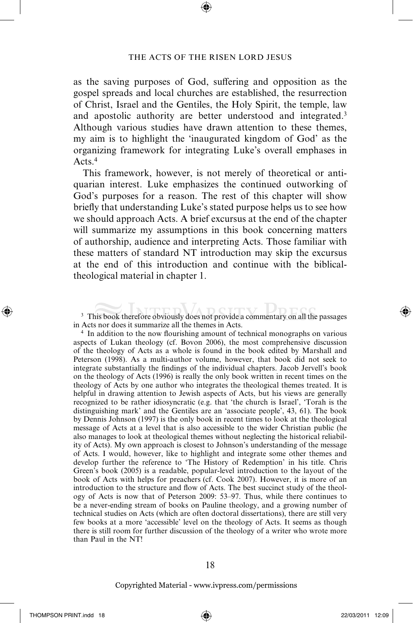as the saving purposes of God, suffering and opposition as the gospel spreads and local churches are established, the resurrection of Christ, Israel and the Gentiles, the Holy Spirit, the temple, law and apostolic authority are better understood and integrated.<sup>3</sup> Although various studies have drawn attention to these themes, my aim is to highlight the 'inaugurated kingdom of God' as the organizing framework for integrating Luke's overall emphases in Acts.4

This framework, however, is not merely of theoretical or antiquarian interest. Luke emphasizes the continued outworking of God's purposes for a reason. The rest of this chapter will show briefly that understanding Luke's stated purpose helps us to see how we should approach Acts. A brief excursus at the end of the chapter will summarize my assumptions in this book concerning matters of authorship, audience and interpreting Acts. Those familiar with these matters of standard NT introduction may skip the excursus at the end of this introduction and continue with the biblicaltheological material in chapter 1.

Dorec D CITRY <sup>3</sup> This book therefore obviously does not provide a commentary on all the passages in Acts nor does it summarize all the themes in Acts.

<sup>4</sup> In addition to the now flourishing amount of technical monographs on various aspects of Lukan theology (cf. Bovon 2006), the most comprehensive discussion of the theology of Acts as a whole is found in the book edited by Marshall and Peterson (1998). As a multi-author volume, however, that book did not seek to integrate substantially the findings of the individual chapters. Jacob Jervell's book on the theology of Acts (1996) is really the only book written in recent times on the theology of Acts by one author who integrates the theological themes treated. It is helpful in drawing attention to Jewish aspects of Acts, but his views are generally recognized to be rather idiosyncratic (e.g. that 'the church is Israel', 'Torah is the distinguishing mark' and the Gentiles are an 'associate people', 43, 61). The book by Dennis Johnson (1997) is the only book in recent times to look at the theological message of Acts at a level that is also accessible to the wider Christian public (he also manages to look at theological themes without neglecting the historical reliability of Acts). My own approach is closest to Johnson's understanding of the message of Acts. I would, however, like to highlight and integrate some other themes and develop further the reference to 'The History of Redemption' in his title. Chris Green's book (2005) is a readable, popular-level introduction to the layout of the book of Acts with helps for preachers (cf. Cook 2007). However, it is more of an introduction to the structure and flow of Acts. The best succinct study of the theology of Acts is now that of Peterson 2009: 53–97. Thus, while there continues to be a never-ending stream of books on Pauline theology, and a growing number of technical studies on Acts (which are often doctoral dissertations), there are still very few books at a more 'accessible' level on the theology of Acts. It seems as though there is still room for further discussion of the theology of a writer who wrote more than Paul in the NT!

#### 18

#### Copyrighted Material - www.ivpress.com/permissions

⊕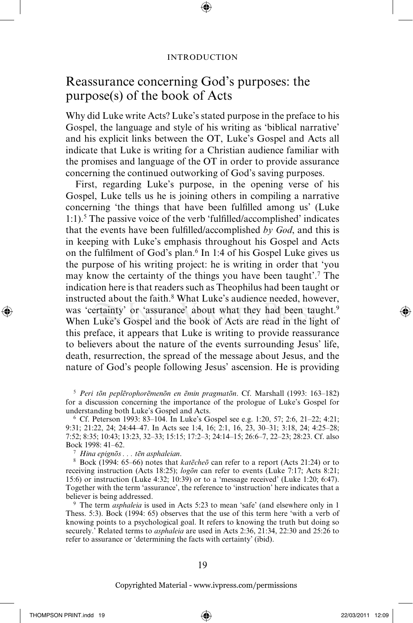#### INTRODUCTION

## Reassurance concerning God's purposes: the purpose(s) of the book of Acts

Why did Luke write Acts? Luke's stated purpose in the preface to his Gospel, the language and style of his writing as 'biblical narrative' and his explicit links between the OT, Luke's Gospel and Acts all indicate that Luke is writing for a Christian audience familiar with the promises and language of the OT in order to provide assurance concerning the continued outworking of God's saving purposes.

First, regarding Luke's purpose, in the opening verse of his Gospel, Luke tells us he is joining others in compiling a narrative concerning 'the things that have been fulfilled among us' (Luke 1:1).<sup>5</sup> The passive voice of the verb 'fulfilled/accomplished' indicates that the events have been fulfilled/accomplished by God, and this is in keeping with Luke's emphasis throughout his Gospel and Acts on the fulfilment of God's plan.<sup>6</sup> In 1:4 of his Gospel Luke gives us the purpose of his writing project: he is writing in order that 'you may know the certainty of the things you have been taught'.7 The indication here is that readers such as Theophilus had been taught or instructed about the faith.<sup>8</sup> What Luke's audience needed, however, was 'certainty' or 'assurance' about what they had been taught.<sup>9</sup> When Luke's Gospel and the book of Acts are read in the light of this preface, it appears that Luke is writing to provide reassurance to believers about the nature of the events surrounding Jesus' life, death, resurrection, the spread of the message about Jesus, and the nature of God's people following Jesus' ascension. He is providing

<sup>7</sup> *Hina epignōs . . . tēn asphaleian*.

8 Bock (1994: 65–66) notes that *katēcheō* can refer to a report (Acts 21:24) or to receiving instruction (Acts 18:25); *logōn* can refer to events (Luke 7:17; Acts 8:21; 15:6) or instruction (Luke 4:32; 10:39) or to a 'message received' (Luke 1:20; 6:47). Together with the term 'assurance', the reference to 'instruction' here indicates that a believer is being addressed.

9 The term *asphaleia* is used in Acts 5:23 to mean 'safe' (and elsewhere only in 1 Thess. 5:3). Bock (1994: 65) observes that the use of this term here 'with a verb of knowing points to a psychological goal. It refers to knowing the truth but doing so securely.' Related terms to *asphaleia* are used in Acts 2:36, 21:34, 22:30 and 25:26 to refer to assurance or 'determining the facts with certainty' (ibid).

19

#### Copyrighted Material - www.ivpress.com/permissions

◈

<sup>5</sup> *Peri tōn peplērophorēmenōn en ēmin pragmatōn*. Cf. Marshall (1993: 163–182) for a discussion concerning the importance of the prologue of Luke's Gospel for understanding both Luke's Gospel and Acts.

<sup>6</sup> Cf. Peterson 1993: 83–104. In Luke's Gospel see e.g. 1:20, 57; 2:6, 21–22; 4:21; 9:31; 21:22, 24; 24:44–47. In Acts see 1:4, 16; 2:1, 16, 23, 30–31; 3:18, 24; 4:25–28; 7:52; 8:35; 10:43; 13:23, 32–33; 15:15; 17:2–3; 24:14–15; 26:6–7, 22–23; 28:23. Cf. also Bock 1998: 41–62.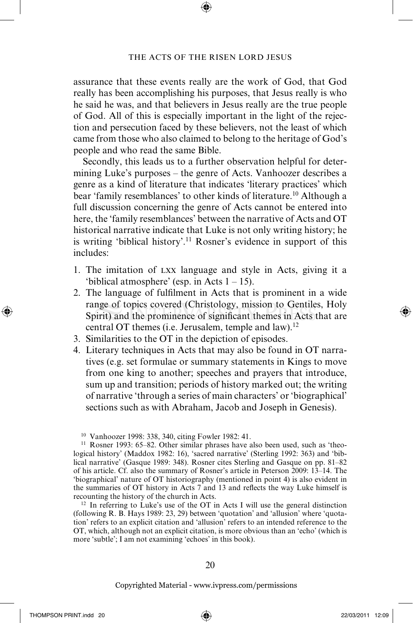assurance that these events really are the work of God, that God really has been accomplishing his purposes, that Jesus really is who he said he was, and that believers in Jesus really are the true people of God. All of this is especially important in the light of the rejection and persecution faced by these believers, not the least of which came from those who also claimed to belong to the heritage of God's people and who read the same Bible.

Secondly, this leads us to a further observation helpful for determining Luke's purposes – the genre of Acts. Vanhoozer describes a genre as a kind of literature that indicates 'literary practices' which bear 'family resemblances' to other kinds of literature.10 Although a full discussion concerning the genre of Acts cannot be entered into here, the 'family resemblances' between the narrative of Acts and OT historical narrative indicate that Luke is not only writing history; he is writing 'biblical history'.11 Rosner's evidence in support of this includes:

- 1. The imitation of lxx language and style in Acts, giving it a 'biblical atmosphere' (esp. in Acts  $1 - 15$ ).
- 2. The language of fulfilment in Acts that is prominent in a wide range of topics covered (Christology, mission to Gentiles, Holy Spirit) and the prominence of significant themes in Acts that are central OT themes (i.e. Jerusalem, temple and law).12
- 3. Similarities to the OT in the depiction of episodes.
- 4. Literary techniques in Acts that may also be found in OT narratives (e.g. set formulae or summary statements in Kings to move from one king to another; speeches and prayers that introduce, sum up and transition; periods of history marked out; the writing of narrative 'through a series of main characters' or 'biographical' sections such as with Abraham, Jacob and Joseph in Genesis).

10 Vanhoozer 1998: 338, 340, citing Fowler 1982: 41.

 $12$  In referring to Luke's use of the OT in Acts I will use the general distinction (following R. B. Hays 1989: 23, 29) between 'quotation' and 'allusion' where 'quotation' refers to an explicit citation and 'allusion' refers to an intended reference to the OT, which, although not an explicit citation, is more obvious than an 'echo' (which is more 'subtle'; I am not examining 'echoes' in this book).

#### 20

#### Copyrighted Material - www.ivpress.com/permissions

◈

<sup>&</sup>lt;sup>11</sup> Rosner 1993: 65–82. Other similar phrases have also been used, such as 'theological history' (Maddox 1982: 16), 'sacred narrative' (Sterling 1992: 363) and 'biblical narrative' (Gasque 1989: 348). Rosner cites Sterling and Gasque on pp. 81–82 of his article. Cf. also the summary of Rosner's article in Peterson 2009: 13–14. The 'biographical' nature of OT historiography (mentioned in point 4) is also evident in the summaries of OT history in Acts 7 and 13 and reflects the way Luke himself is recounting the history of the church in Acts.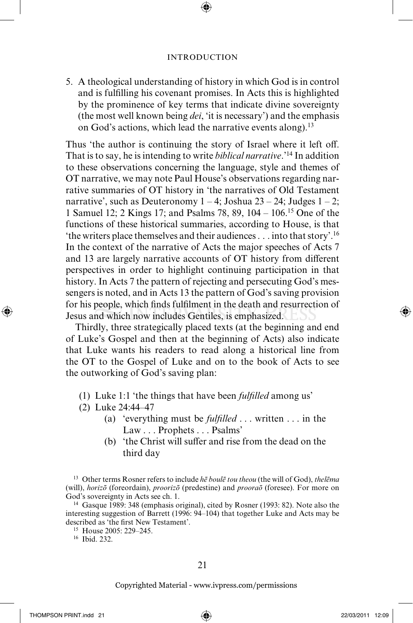#### INTRODUCTION

⊕

5. A theological understanding of history in which God is in control and is fulfilling his covenant promises. In Acts this is highlighted by the prominence of key terms that indicate divine sovereignty (the most well known being *dei*, 'it is necessary') and the emphasis on God's actions, which lead the narrative events along).13

Thus 'the author is continuing the story of Israel where it left off. That is to say, he is intending to write *biblical narrative*.'14 In addition to these observations concerning the language, style and themes of OT narrative, we may note Paul House's observations regarding narrative summaries of OT history in 'the narratives of Old Testament narrative', such as Deuteronomy  $1 - 4$ ; Joshua  $23 - 24$ ; Judges  $1 - 2$ ; 1 Samuel 12; 2 Kings 17; and Psalms 78, 89, 104 – 106.15 One of the functions of these historical summaries, according to House, is that 'the writers place themselves and their audiences . . . into that story'.16 In the context of the narrative of Acts the major speeches of Acts 7 and 13 are largely narrative accounts of OT history from different perspectives in order to highlight continuing participation in that history. In Acts 7 the pattern of rejecting and persecuting God's messengers is noted, and in Acts 13 the pattern of God's saving provision for his people, which finds fulfilment in the death and resurrection of Jesus and which now includes Gentiles, is emphasized.

Thirdly, three strategically placed texts (at the beginning and end of Luke's Gospel and then at the beginning of Acts) also indicate that Luke wants his readers to read along a historical line from the OT to the Gospel of Luke and on to the book of Acts to see the outworking of God's saving plan:

- (1) Luke 1:1 'the things that have been *fulfi lled* among us'
- (2) Luke 24:44–47
	- (a) 'everything must be *fulfi lled* . . . written . . . in the Law . . . Prophets . . . Psalms'
	- $(b)$  'the Christ will suffer and rise from the dead on the third day

14 Gasque 1989: 348 (emphasis original), cited by Rosner (1993: 82). Note also the interesting suggestion of Barrett (1996: 94–104) that together Luke and Acts may be described as 'the first New Testament'.

15 House 2005: 229–245.

16 Ibid. 232.

21

◈

<sup>13</sup> Other terms Rosner refers to include *hē boulē tou theou* (the will of God), *thelēma* (will), *horizō* (foreordain), *proorizō* (predestine) and *prooraō* (foresee). For more on God's sovereignty in Acts see ch. 1.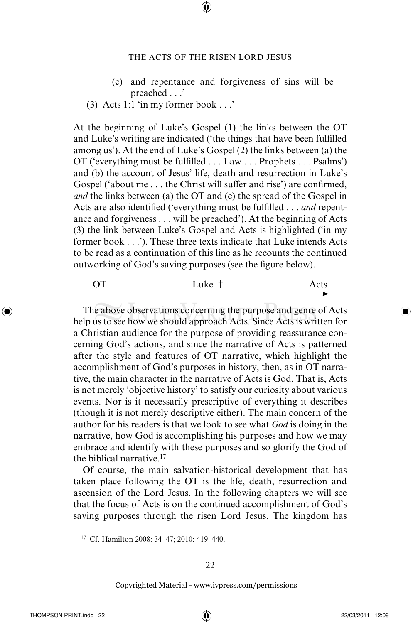⊕

- (c) and repentance and forgiveness of sins will be preached . . .'
- (3) Acts 1:1 'in my former book . . .'

At the beginning of Luke's Gospel (1) the links between the OT and Luke's writing are indicated ('the things that have been fulfilled among us'). At the end of Luke's Gospel (2) the links between (a) the OT ('everything must be fulfilled . . . Law . . . Prophets . . . Psalms') and (b) the account of Jesus' life, death and resurrection in Luke's Gospel ('about me . . . the Christ will suffer and rise') are confirmed, *and* the links between (a) the OT and (c) the spread of the Gospel in Acts are also identified ('everything must be fulfilled . . . *and* repentance and forgiveness . . . will be preached'). At the beginning of Acts (3) the link between Luke's Gospel and Acts is highlighted ('in my former book . . .'). These three texts indicate that Luke intends Acts to be read as a continuation of this line as he recounts the continued outworking of God's saving purposes (see the figure below).

OT Luke † Acts

The above observations concerning the purpose and genre of Acts help us to see how we should approach Acts. Since Acts is written for a Christian audience for the purpose of providing reassurance concerning God's actions, and since the narrative of Acts is patterned after the style and features of OT narrative, which highlight the accomplishment of God's purposes in history, then, as in OT narrative, the main character in the narrative of Acts is God. That is, Acts is not merely 'objective history' to satisfy our curiosity about various events. Nor is it necessarily prescriptive of everything it describes (though it is not merely descriptive either). The main concern of the author for his readers is that we look to see what *God* is doing in the narrative, how God is accomplishing his purposes and how we may embrace and identify with these purposes and so glorify the God of the biblical narrative.17

Of course, the main salvation-historical development that has taken place following the OT is the life, death, resurrection and ascension of the Lord Jesus. In the following chapters we will see that the focus of Acts is on the continued accomplishment of God's saving purposes through the risen Lord Jesus. The kingdom has

17 Cf. Hamilton 2008: 34–47; 2010: 419–440.

◈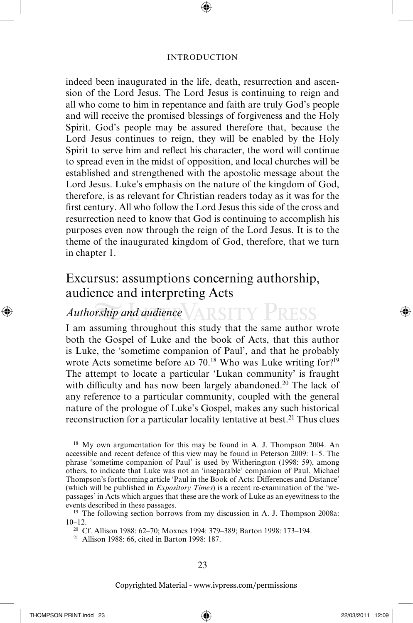#### INTRODUCTION

indeed been inaugurated in the life, death, resurrection and ascension of the Lord Jesus. The Lord Jesus is continuing to reign and all who come to him in repentance and faith are truly God's people and will receive the promised blessings of forgiveness and the Holy Spirit. God's people may be assured therefore that, because the Lord Jesus continues to reign, they will be enabled by the Holy Spirit to serve him and reflect his character, the word will continue to spread even in the midst of opposition, and local churches will be established and strengthened with the apostolic message about the Lord Jesus. Luke's emphasis on the nature of the kingdom of God, therefore, is as relevant for Christian readers today as it was for the first century. All who follow the Lord Jesus this side of the cross and resurrection need to know that God is continuing to accomplish his purposes even now through the reign of the Lord Jesus. It is to the theme of the inaugurated kingdom of God, therefore, that we turn in chapter 1.

## Excursus: assumptions concerning authorship, audience and interpreting Acts

## *Authorship and audience*

◈

I am assuming throughout this study that the same author wrote both the Gospel of Luke and the book of Acts, that this author is Luke, the 'sometime companion of Paul', and that he probably wrote Acts sometime before ad  $70^{18}$  Who was Luke writing for?<sup>19</sup> The attempt to locate a particular 'Lukan community' is fraught with difficulty and has now been largely abandoned.<sup>20</sup> The lack of any reference to a particular community, coupled with the general nature of the prologue of Luke's Gospel, makes any such historical reconstruction for a particular locality tentative at best.<sup>21</sup> Thus clues

<sup>18</sup> My own argumentation for this may be found in A. J. Thompson 2004. An accessible and recent defence of this view may be found in Peterson 2009: 1–5. The phrase 'sometime companion of Paul' is used by Witherington (1998: 59), among others, to indicate that Luke was not an 'inseparable' companion of Paul. Michael Thompson's forthcoming article 'Paul in the Book of Acts: Differences and Distance' (which will be published in *Expository Times*) is a recent re-examination of the 'wepassages' in Acts which argues that these are the work of Luke as an eyewitness to the events described in these passages.

<sup>19</sup> The following section borrows from my discussion in A. J. Thompson 2008a: 10–12.

20 Cf. Allison 1988: 62–70; Moxnes 1994: 379–389; Barton 1998: 173–194.

21 Allison 1988: 66, cited in Barton 1998: 187.

#### Copyrighted Material - www.ivpress.com/permissions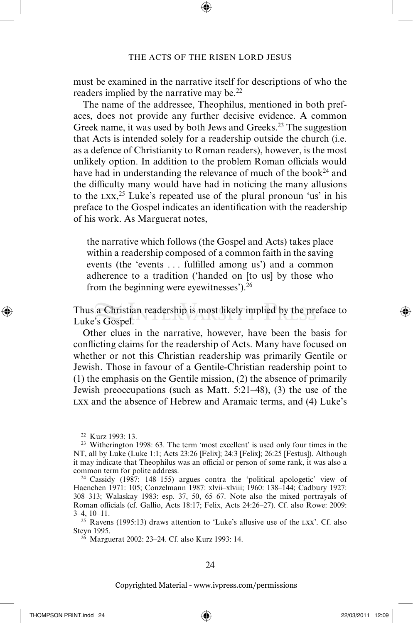must be examined in the narrative itself for descriptions of who the readers implied by the narrative may be.<sup>22</sup>

The name of the addressee, Theophilus, mentioned in both prefaces, does not provide any further decisive evidence. A common Greek name, it was used by both Jews and Greeks.23 The suggestion that Acts is intended solely for a readership outside the church (i.e. as a defence of Christianity to Roman readers), however, is the most unlikely option. In addition to the problem Roman officials would have had in understanding the relevance of much of the book<sup>24</sup> and the difficulty many would have had in noticing the many allusions to the  $LXX$ ,<sup>25</sup> Luke's repeated use of the plural pronoun 'us' in his preface to the Gospel indicates an identification with the readership of his work. As Marguerat notes,

the narrative which follows (the Gospel and Acts) takes place within a readership composed of a common faith in the saving events (the 'events  $\dots$  fulfilled among us') and a common adherence to a tradition ('handed on [to us] by those who from the beginning were eyewitnesses').26

Thus a Christian readership is most likely implied by the preface to Luke's Gospel.

Other clues in the narrative, however, have been the basis for conflicting claims for the readership of Acts. Many have focused on whether or not this Christian readership was primarily Gentile or Jewish. Those in favour of a Gentile-Christian readership point to (1) the emphasis on the Gentile mission, (2) the absence of primarily Jewish preoccupations (such as Matt. 5:21–48), (3) the use of the LXX and the absence of Hebrew and Aramaic terms, and (4) Luke's

<sup>26</sup> Marguerat 2002: 23–24. Cf. also Kurz 1993: 14.

#### Copyrighted Material - www.ivpress.com/permissions

◈

<sup>22</sup> Kurz 1993: 13.

<sup>23</sup> Witherington 1998: 63. The term 'most excellent' is used only four times in the NT, all by Luke (Luke 1:1; Acts 23:26 [Felix]; 24:3 [Felix]; 26:25 [Festus]). Although it may indicate that Theophilus was an official or person of some rank, it was also a common term for polite address.

<sup>24</sup> Cassidy (1987: 148–155) argues contra the 'political apologetic' view of Haenchen 1971: 105; Conzelmann 1987: xlvii–xlviii; 1960: 138–144; Cadbury 1927: 308–313; Walaskay 1983: esp. 37, 50, 65–67. Note also the mixed portrayals of Roman officials (cf. Gallio, Acts 18:17; Felix, Acts 24:26–27). Cf. also Rowe: 2009: 3–4, 10–11.

 $25$  Ravens (1995:13) draws attention to 'Luke's allusive use of the Lxx'. Cf. also Steyn 1995.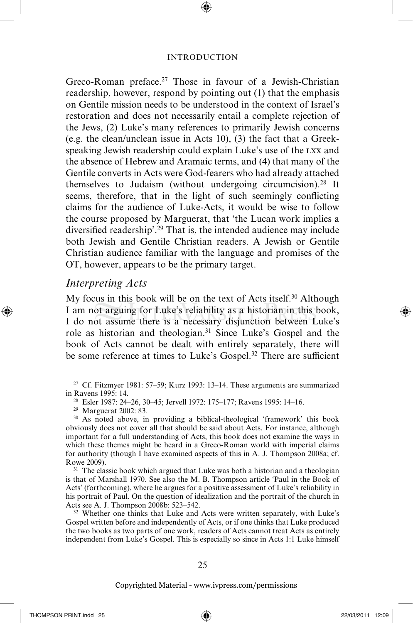#### INTRODUCTION

 Greco-Roman preface.27 Those in favour of a Jewish-Christian readership, however, respond by pointing out (1) that the emphasis on Gentile mission needs to be understood in the context of Israel's restoration and does not necessarily entail a complete rejection of the Jews, (2) Luke's many references to primarily Jewish concerns (e.g. the clean/unclean issue in Acts 10), (3) the fact that a Greekspeaking Jewish readership could explain Luke's use of the lxx and the absence of Hebrew and Aramaic terms, and (4) that many of the Gentile converts in Acts were God-fearers who had already attached themselves to Judaism (without undergoing circumcision).28 It seems, therefore, that in the light of such seemingly conflicting claims for the audience of Luke-Acts, it would be wise to follow the course proposed by Marguerat, that 'the Lucan work implies a diversified readership'.<sup>29</sup> That is, the intended audience may include both Jewish and Gentile Christian readers. A Jewish or Gentile Christian audience familiar with the language and promises of the OT, however, appears to be the primary target.

### *Interpreting Acts*

◈

My focus in this book will be on the text of Acts itself.<sup>30</sup> Although I am not arguing for Luke's reliability as a historian in this book, I do not assume there is a necessary disjunction between Luke's role as historian and theologian.31 Since Luke's Gospel and the book of Acts cannot be dealt with entirely separately, there will be some reference at times to Luke's Gospel.<sup>32</sup> There are sufficient

<sup>27</sup> Cf. Fitzmyer 1981: 57–59; Kurz 1993: 13–14. These arguments are summarized in Ravens 1995: 14.

28 Esler 1987: 24–26, 30–45; Jervell 1972: 175–177; Ravens 1995: 14–16.

29 Marguerat 2002: 83.

30 As noted above, in providing a biblical-theological 'framework' this book obviously does not cover all that should be said about Acts. For instance, although important for a full understanding of Acts, this book does not examine the ways in which these themes might be heard in a Greco-Roman world with imperial claims for authority (though I have examined aspects of this in A. J. Thompson 2008a; cf. Rowe 2009).

<sup>31</sup> The classic book which argued that Luke was both a historian and a theologian is that of Marshall 1970. See also the M. B. Thompson article 'Paul in the Book of Acts' (forthcoming), where he argues for a positive assessment of Luke's reliability in his portrait of Paul. On the question of idealization and the portrait of the church in Acts see A. J. Thompson 2008b: 523–542.

<sup>32</sup> Whether one thinks that Luke and Acts were written separately, with Luke's Gospel written before and independently of Acts, or if one thinks that Luke produced the two books as two parts of one work, readers of Acts cannot treat Acts as entirely independent from Luke's Gospel. This is especially so since in Acts 1:1 Luke himself

#### Copyrighted Material - www.ivpress.com/permissions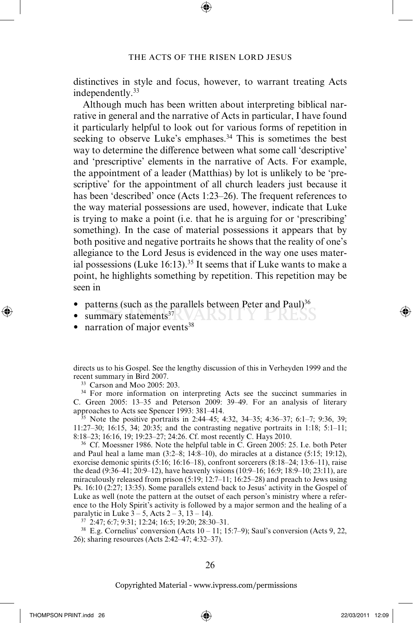distinctives in style and focus, however, to warrant treating Acts independently.33

Although much has been written about interpreting biblical narrative in general and the narrative of Acts in particular, I have found it particularly helpful to look out for various forms of repetition in seeking to observe Luke's emphases.<sup>34</sup> This is sometimes the best way to determine the difference between what some call 'descriptive' and 'prescriptive' elements in the narrative of Acts. For example, the appointment of a leader (Matthias) by lot is unlikely to be 'prescriptive' for the appointment of all church leaders just because it has been 'described' once (Acts 1:23–26). The frequent references to the way material possessions are used, however, indicate that Luke is trying to make a point (i.e. that he is arguing for or 'prescribing' something). In the case of material possessions it appears that by both positive and negative portraits he shows that the reality of one's allegiance to the Lord Jesus is evidenced in the way one uses material possessions (Luke 16:13).<sup>35</sup> It seems that if Luke wants to make a point, he highlights something by repetition. This repetition may be seen in

- patterns (such as the parallels between Peter and Paul)<sup>36</sup>
- summary statements<sup>37</sup>
- narration of major events $38$

directs us to his Gospel. See the lengthy discussion of this in Verheyden 1999 and the recent summary in Bird 2007.

33 Carson and Moo 2005: 203.

<sup>34</sup> For more information on interpreting Acts see the succinct summaries in C. Green 2005: 13–35 and Peterson 2009: 39–49. For an analysis of literary approaches to Acts see Spencer 1993: 381–414.

 $35$  Note the positive portraits in 2:44–45; 4:32, 34–35; 4:36–37; 6:1–7; 9:36, 39; 11:27–30; 16:15, 34; 20:35; and the contrasting negative portraits in 1:18; 5:1–11; 8:18–23; 16:16, 19; 19:23–27; 24:26. Cf. most recently C. Hays 2010.

36 Cf. Moessner 1986. Note the helpful table in C. Green 2005: 25. I.e. both Peter and Paul heal a lame man (3:2–8; 14:8–10), do miracles at a distance (5:15; 19:12), exorcise demonic spirits (5:16; 16:16–18), confront sorcerers (8:18–24; 13:6–11), raise the dead (9:36–41; 20:9–12), have heavenly visions (10:9–16; 16:9; 18:9–10; 23:11), are miraculously released from prison (5:19; 12:7–11; 16:25–28) and preach to Jews using Ps. 16:10 (2:27; 13:35). Some parallels extend back to Jesus' activity in the Gospel of Luke as well (note the pattern at the outset of each person's ministry where a reference to the Holy Spirit's activity is followed by a major sermon and the healing of a paralytic in Luke  $3 - 5$ , Acts  $2 - 3$ ,  $13 - 14$ ).

37 2:47; 6:7; 9:31; 12:24; 16:5; 19:20; 28:30–31.

<sup>38</sup> E.g. Cornelius' conversion (Acts  $10 - 11$ ; 15:7–9); Saul's conversion (Acts 9, 22, 26); sharing resources (Acts 2:42–47; 4:32–37).

26

⊕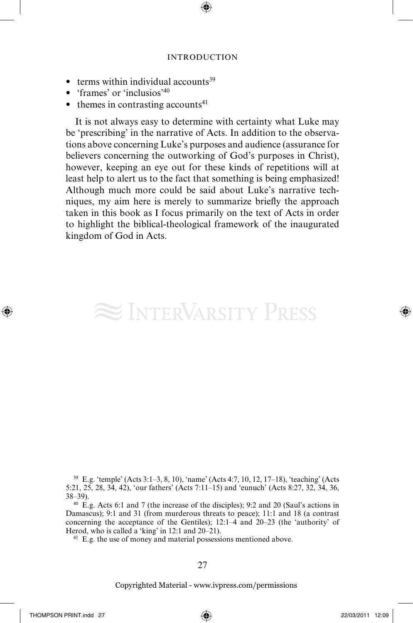#### INTRODUCTION

⊕

- $\bullet$  terms within individual accounts<sup>39</sup>
- 'frames' or 'inclusios'<sup>40</sup>
- $\bullet$  themes in contrasting accounts<sup>41</sup>

It is not always easy to determine with certainty what Luke may be 'prescribing' in the narrative of Acts. In addition to the observations above concerning Luke's purposes and audience (assurance for believers concerning the outworking of God's purposes in Christ), however, keeping an eye out for these kinds of repetitions will at least help to alert us to the fact that something is being emphasized! Although much more could be said about Luke's narrative techniques, my aim here is merely to summarize briefly the approach taken in this book as I focus primarily on the text of Acts in order to highlight the biblical-theological framework of the inaugurated kingdom of God in Acts.

## **EXAMPLE INTERVARSITY PRESS**

39 E.g. 'temple' (Acts 3:1–3, 8, 10), 'name' (Acts 4:7, 10, 12, 17–18), 'teaching' (Acts 5:21, 25, 28, 34, 42), 'our fathers' (Acts 7:11–15) and 'eunuch' (Acts 8:27, 32, 34, 36, 38–39).

40 E.g. Acts 6:1 and 7 (the increase of the disciples); 9:2 and 20 (Saul's actions in Damascus); 9:1 and 31 (from murderous threats to peace); 11:1 and 18 (a contrast concerning the acceptance of the Gentiles); 12:1–4 and 20–23 (the 'authority' of Herod, who is called a 'king' in 12:1 and 20–21).

<sup>41</sup> E.g. the use of money and material possessions mentioned above.

27

#### Copyrighted Material - www.ivpress.com/permissions

◈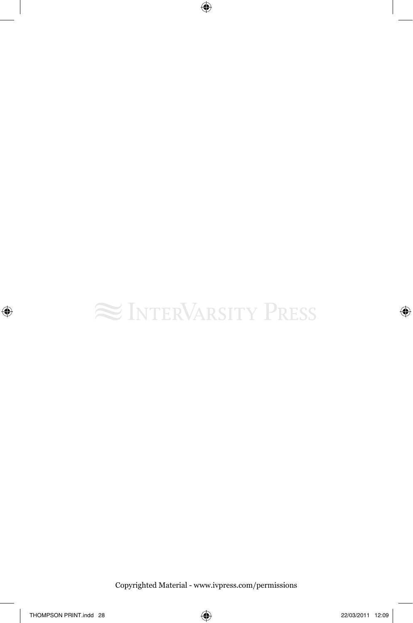# **EXAMPLE INTERVARSITY PRESS**

 $\bigoplus$ 

Copyrighted Material - www.ivpress.com/permissions

 $\bigoplus$ 

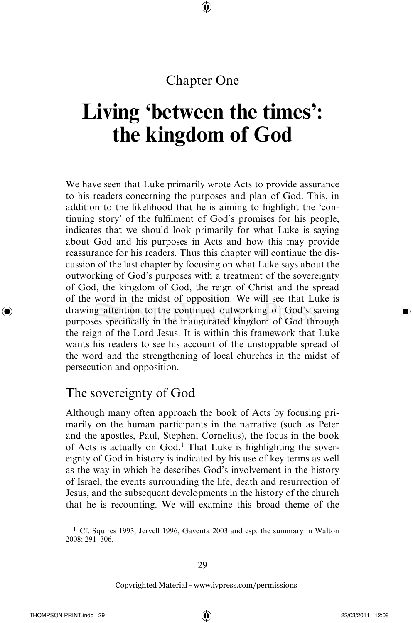## Chapter One

⊕

## **Living 'between the times': the kingdom of God**

We have seen that Luke primarily wrote Acts to provide assurance to his readers concerning the purposes and plan of God. This, in addition to the likelihood that he is aiming to highlight the 'continuing story' of the fulfilment of God's promises for his people, indicates that we should look primarily for what Luke is saying about God and his purposes in Acts and how this may provide reassurance for his readers. Thus this chapter will continue the discussion of the last chapter by focusing on what Luke says about the outworking of God's purposes with a treatment of the sovereignty of God, the kingdom of God, the reign of Christ and the spread of the word in the midst of opposition. We will see that Luke is drawing attention to the continued outworking of God's saving purposes specifically in the inaugurated kingdom of God through the reign of the Lord Jesus. It is within this framework that Luke wants his readers to see his account of the unstoppable spread of the word and the strengthening of local churches in the midst of persecution and opposition.

## The sovereignty of God

Although many often approach the book of Acts by focusing primarily on the human participants in the narrative (such as Peter and the apostles, Paul, Stephen, Cornelius), the focus in the book of Acts is actually on God.<sup>1</sup> That Luke is highlighting the sovereignty of God in history is indicated by his use of key terms as well as the way in which he describes God's involvement in the history of Israel, the events surrounding the life, death and resurrection of Jesus, and the subsequent developments in the history of the church that he is recounting. We will examine this broad theme of the

#### Copyrighted Material - www.ivpress.com/permissions

◈

<sup>&</sup>lt;sup>1</sup> Cf. Squires 1993, Jervell 1996, Gaventa 2003 and esp. the summary in Walton 2008: 291–306.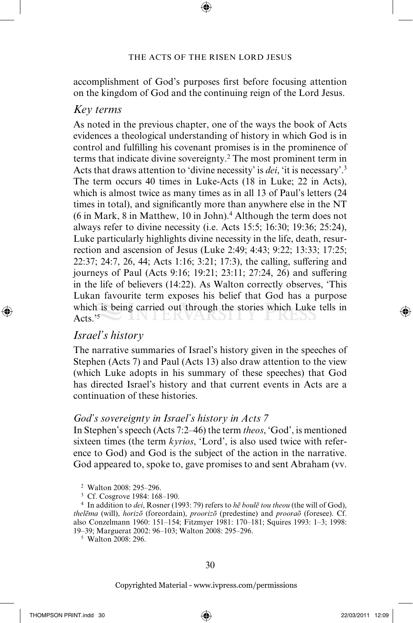accomplishment of God's purposes first before focusing attention on the kingdom of God and the continuing reign of the Lord Jesus.

## *Key terms*

As noted in the previous chapter, one of the ways the book of Acts evidences a theological understanding of history in which God is in control and fulfilling his covenant promises is in the prominence of terms that indicate divine sovereignty.2 The most prominent term in Acts that draws attention to 'divine necessity' is *dei*, 'it is necessary'.3 The term occurs 40 times in Luke-Acts (18 in Luke; 22 in Acts), which is almost twice as many times as in all 13 of Paul's letters (24 times in total), and significantly more than anywhere else in the NT (6 in Mark, 8 in Matthew, 10 in John).4 Although the term does not always refer to divine necessity (i.e. Acts 15:5; 16:30; 19:36; 25:24), Luke particularly highlights divine necessity in the life, death, resurrection and ascension of Jesus (Luke 2:49; 4:43; 9:22; 13:33; 17:25; 22:37; 24:7, 26, 44; Acts 1:16; 3:21; 17:3), the calling, suffering and journeys of Paul (Acts 9:16; 19:21; 23:11; 27:24, 26) and suffering in the life of believers (14:22). As Walton correctly observes, 'This Lukan favourite term exposes his belief that God has a purpose which is being carried out through the stories which Luke tells in Acts $.35$ VAKƏLLI

## *Israel's history*

◈

The narrative summaries of Israel's history given in the speeches of Stephen (Acts 7) and Paul (Acts 13) also draw attention to the view (which Luke adopts in his summary of these speeches) that God has directed Israel's history and that current events in Acts are a continuation of these histories.

## *God's sovereignty in Israel's history in Acts 7*

In Stephen's speech (Acts 7:2–46) the term *theos*, 'God', is mentioned sixteen times (the term *kyrios*, 'Lord', is also used twice with reference to God) and God is the subject of the action in the narrative. God appeared to, spoke to, gave promises to and sent Abraham (vv.

2 Walton 2008: 295–296.

5 Walton 2008: 296.

#### Copyrighted Material - www.ivpress.com/permissions

<sup>3</sup> Cf. Cosgrove 1984: 168–190.

<sup>4</sup> In addition to *dei*, Rosner (1993: 79) refers to *hē boulē tou theou* (the will of God), *thelēma* (will), *horizō* (foreordain), *proorizō* (predestine) and *prooraō* (foresee). Cf. also Conzelmann 1960: 151–154; Fitzmyer 1981: 170–181; Squires 1993: 1–3; 1998: 19–39; Marguerat 2002: 96–103; Walton 2008: 295–296.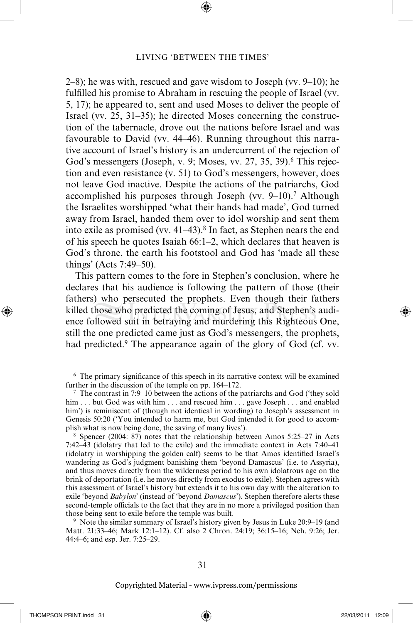2–8); he was with, rescued and gave wisdom to Joseph (vv. 9–10); he fulfilled his promise to Abraham in rescuing the people of Israel (vv. 5, 17); he appeared to, sent and used Moses to deliver the people of Israel (vv. 25, 31–35); he directed Moses concerning the construction of the tabernacle, drove out the nations before Israel and was favourable to David (vv. 44–46). Running throughout this narrative account of Israel's history is an undercurrent of the rejection of God's messengers (Joseph, v. 9; Moses, vv. 27, 35, 39).<sup>6</sup> This rejection and even resistance (v. 51) to God's messengers, however, does not leave God inactive. Despite the actions of the patriarchs, God accomplished his purposes through Joseph (vv. 9–10).7 Although the Israelites worshipped 'what their hands had made', God turned away from Israel, handed them over to idol worship and sent them into exile as promised (vv. 41–43).8 In fact, as Stephen nears the end of his speech he quotes Isaiah 66:1–2, which declares that heaven is God's throne, the earth his footstool and God has 'made all these things' (Acts 7:49–50).

This pattern comes to the fore in Stephen's conclusion, where he declares that his audience is following the pattern of those (their fathers) who persecuted the prophets. Even though their fathers killed those who predicted the coming of Jesus, and Stephen's audience followed suit in betraying and murdering this Righteous One, still the one predicted came just as God's messengers, the prophets, had predicted.<sup>9</sup> The appearance again of the glory of God (cf. vv.

7 The contrast in 7:9–10 between the actions of the patriarchs and God ('they sold him . . . but God was with him . . . and rescued him . . . gave Joseph . . . and enabled him') is reminiscent of (though not identical in wording) to Joseph's assessment in Genesis 50:20 ('You intended to harm me, but God intended it for good to accomplish what is now being done, the saving of many lives').

8 Spencer (2004: 87) notes that the relationship between Amos 5:25–27 in Acts 7:42–43 (idolatry that led to the exile) and the immediate context in Acts 7:40–41 (idolatry in worshipping the golden calf) seems to be that Amos identified Israel's wandering as God's judgment banishing them 'beyond Damascus' (i.e. to Assyria), and thus moves directly from the wilderness period to his own idolatrous age on the brink of deportation (i.e. he moves directly from exodus to exile). Stephen agrees with this assessment of Israel's history but extends it to his own day with the alteration to exile 'beyond *Babylon*' (instead of 'beyond *Damascus*'). Stephen therefore alerts these second-temple officials to the fact that they are in no more a privileged position than those being sent to exile before the temple was built.

9 Note the similar summary of Israel's history given by Jesus in Luke 20:9–19 (and Matt. 21:33–46; Mark 12:1–12). Cf. also 2 Chron. 24:19; 36:15–16; Neh. 9:26; Jer. 44:4–6; and esp. Jer. 7:25–29.

◈

<sup>&</sup>lt;sup>6</sup> The primary significance of this speech in its narrative context will be examined further in the discussion of the temple on pp. 164–172.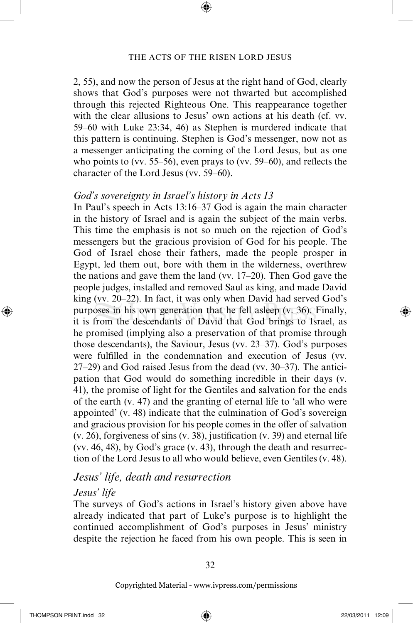⊕

2, 55), and now the person of Jesus at the right hand of God, clearly shows that God's purposes were not thwarted but accomplished through this rejected Righteous One. This reappearance together with the clear allusions to Jesus' own actions at his death (cf. vv. 59–60 with Luke 23:34, 46) as Stephen is murdered indicate that this pattern is continuing. Stephen is God's messenger, now not as a messenger anticipating the coming of the Lord Jesus, but as one who points to (vv. 55–56), even prays to (vv. 59–60), and reflects the character of the Lord Jesus (vv. 59–60).

### *God's sovereignty in Israel's history in Acts 13*

In Paul's speech in Acts 13:16–37 God is again the main character in the history of Israel and is again the subject of the main verbs. This time the emphasis is not so much on the rejection of God's messengers but the gracious provision of God for his people. The God of Israel chose their fathers, made the people prosper in Egypt, led them out, bore with them in the wilderness, overthrew the nations and gave them the land (vv. 17–20). Then God gave the people judges, installed and removed Saul as king, and made David king (vv. 20–22). In fact, it was only when David had served God's purposes in his own generation that he fell asleep (v. 36). Finally, it is from the descendants of David that God brings to Israel, as he promised (implying also a preservation of that promise through those descendants), the Saviour, Jesus (vv. 23–37). God's purposes were fulfilled in the condemnation and execution of Jesus (vv. 27–29) and God raised Jesus from the dead (vv. 30–37). The anticipation that God would do something incredible in their days (v. 41), the promise of light for the Gentiles and salvation for the ends of the earth (v. 47) and the granting of eternal life to 'all who were appointed' (v. 48) indicate that the culmination of God's sovereign and gracious provision for his people comes in the offer of salvation  $(v, 26)$ , forgiveness of sins  $(v, 38)$ , justification  $(v, 39)$  and eternal life (vv. 46, 48), by God's grace (v. 43), through the death and resurrection of the Lord Jesus to all who would believe, even Gentiles (v. 48).

## *Jesus' life, death and resurrection*

#### *Jesus' life*

The surveys of God's actions in Israel's history given above have already indicated that part of Luke's purpose is to highlight the continued accomplishment of God's purposes in Jesus' ministry despite the rejection he faced from his own people. This is seen in

#### Copyrighted Material - www.ivpress.com/permissions

◈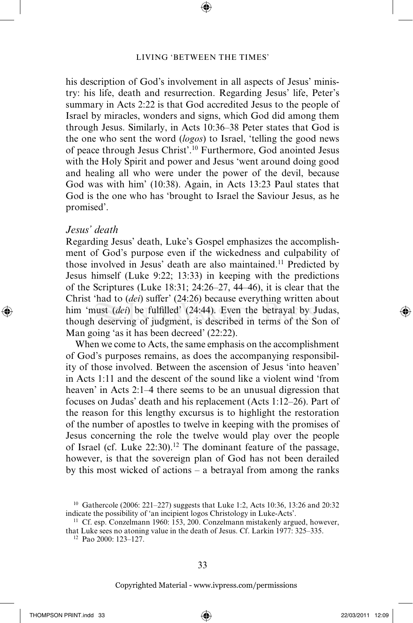his description of God's involvement in all aspects of Jesus' ministry: his life, death and resurrection. Regarding Jesus' life, Peter's summary in Acts 2:22 is that God accredited Jesus to the people of Israel by miracles, wonders and signs, which God did among them through Jesus. Similarly, in Acts 10:36–38 Peter states that God is the one who sent the word (*logos*) to Israel, 'telling the good news of peace through Jesus Christ'.10 Furthermore, God anointed Jesus with the Holy Spirit and power and Jesus 'went around doing good and healing all who were under the power of the devil, because God was with him' (10:38). Again, in Acts 13:23 Paul states that God is the one who has 'brought to Israel the Saviour Jesus, as he promised'.

#### *Jesus' death*

◈

Regarding Jesus' death, Luke's Gospel emphasizes the accomplishment of God's purpose even if the wickedness and culpability of those involved in Jesus' death are also maintained.11 Predicted by Jesus himself (Luke 9:22; 13:33) in keeping with the predictions of the Scriptures (Luke 18:31; 24:26–27, 44–46), it is clear that the Christ 'had to *(dei)* suffer' (24:26) because everything written about him 'must *(dei)* be fulfilled' (24:44). Even the betrayal by Judas, though deserving of judgment, is described in terms of the Son of Man going 'as it has been decreed' (22:22).

When we come to Acts, the same emphasis on the accomplishment of God's purposes remains, as does the accompanying responsibility of those involved. Between the ascension of Jesus 'into heaven' in Acts 1:11 and the descent of the sound like a violent wind 'from heaven' in Acts 2:1–4 there seems to be an unusual digression that focuses on Judas' death and his replacement (Acts 1:12–26). Part of the reason for this lengthy excursus is to highlight the restoration of the number of apostles to twelve in keeping with the promises of Jesus concerning the role the twelve would play over the people of Israel (cf. Luke  $22:30$ ).<sup>12</sup> The dominant feature of the passage, however, is that the sovereign plan of God has not been derailed by this most wicked of actions – a betrayal from among the ranks

<sup>10</sup> Gathercole (2006: 221–227) suggests that Luke 1:2, Acts 10:36, 13:26 and 20:32 indicate the possibility of 'an incipient logos Christology in Luke-Acts'.

<sup>&</sup>lt;sup>11</sup> Cf. esp. Conzelmann 1960: 153, 200. Conzelmann mistakenly argued, however, that Luke sees no atoning value in the death of Jesus. Cf. Larkin 1977: 325–335.

<sup>12</sup> Pao 2000: 123–127.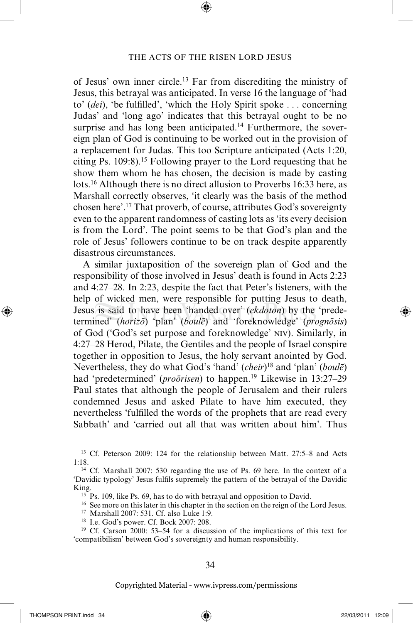of Jesus' own inner circle.13 Far from discrediting the ministry of Jesus, this betrayal was anticipated. In verse 16 the language of 'had to' *(dei*), 'be fulfilled', 'which the Holy Spirit spoke . . . concerning Judas' and 'long ago' indicates that this betrayal ought to be no surprise and has long been anticipated.<sup>14</sup> Furthermore, the sovereign plan of God is continuing to be worked out in the provision of a replacement for Judas. This too Scripture anticipated (Acts 1:20, citing Ps. 109:8).15 Following prayer to the Lord requesting that he show them whom he has chosen, the decision is made by casting lots.16 Although there is no direct allusion to Proverbs 16:33 here, as Marshall correctly observes, 'it clearly was the basis of the method chosen here'.17 That proverb, of course, attributes God's sovereignty even to the apparent randomness of casting lots as 'its every decision is from the Lord'. The point seems to be that God's plan and the role of Jesus' followers continue to be on track despite apparently disastrous circumstances.

A similar juxtaposition of the sovereign plan of God and the responsibility of those involved in Jesus' death is found in Acts 2:23 and 4:27–28. In 2:23, despite the fact that Peter's listeners, with the help of wicked men, were responsible for putting Jesus to death, Jesus is said to have been 'handed over' (*ekdoton*) by the 'predetermined' (*horizō*) 'plan' (*boulē*) and 'foreknowledge' (*prognōsis*) of God ('God's set purpose and foreknowledge' niv). Similarly, in 4:27–28 Herod, Pilate, the Gentiles and the people of Israel conspire together in opposition to Jesus, the holy servant anointed by God. Nevertheless, they do what God's 'hand' (*cheir*)18 and 'plan' (*boulē*) had 'predetermined' (*proōrisen*) to happen.<sup>19</sup> Likewise in 13:27–29 Paul states that although the people of Jerusalem and their rulers condemned Jesus and asked Pilate to have him executed, they nevertheless 'fulfilled the words of the prophets that are read every Sabbath' and 'carried out all that was written about him'. Thus

<sup>15</sup> Ps. 109, like Ps. 69, has to do with betrayal and opposition to David.

<sup>16</sup> See more on this later in this chapter in the section on the reign of the Lord Jesus.

17 Marshall 2007: 531. Cf. also Luke 1:9.

18 I.e. God's power. Cf. Bock 2007: 208.

19 Cf. Carson 2000: 53–54 for a discussion of the implications of this text for ' compatibilism' between God's sovereignty and human responsibility.

#### 34

#### Copyrighted Material - www.ivpress.com/permissions

◈

<sup>13</sup> Cf. Peterson 2009: 124 for the relationship between Matt. 27:5–8 and Acts 1:18.

<sup>14</sup> Cf. Marshall 2007: 530 regarding the use of Ps. 69 here. In the context of a 'Davidic typology' Jesus fulfils supremely the pattern of the betrayal of the Davidic King.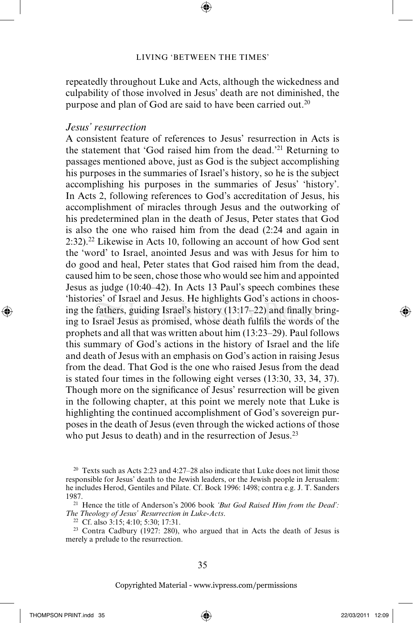repeatedly throughout Luke and Acts, although the wickedness and culpability of those involved in Jesus' death are not diminished, the purpose and plan of God are said to have been carried out.20

#### *Jesus' resurrection*

A consistent feature of references to Jesus' resurrection in Acts is the statement that 'God raised him from the dead.'21 Returning to passages mentioned above, just as God is the subject accomplishing his purposes in the summaries of Israel's history, so he is the subject accomplishing his purposes in the summaries of Jesus' 'history'. In Acts 2, following references to God's accreditation of Jesus, his accomplishment of miracles through Jesus and the outworking of his predetermined plan in the death of Jesus, Peter states that God is also the one who raised him from the dead (2:24 and again in 2:32).22 Likewise in Acts 10, following an account of how God sent the 'word' to Israel, anointed Jesus and was with Jesus for him to do good and heal, Peter states that God raised him from the dead, caused him to be seen, chose those who would see him and appointed Jesus as judge (10:40–42). In Acts 13 Paul's speech combines these 'histories' of Israel and Jesus. He highlights God's actions in choosing the fathers, guiding Israel's history  $(13.17-22)$  and finally bringing to Israel Jesus as promised, whose death fulfils the words of the prophets and all that was written about him (13:23–29). Paul follows this summary of God's actions in the history of Israel and the life and death of Jesus with an emphasis on God's action in raising Jesus from the dead. That God is the one who raised Jesus from the dead is stated four times in the following eight verses (13:30, 33, 34, 37). Though more on the significance of Jesus' resurrection will be given in the following chapter, at this point we merely note that Luke is highlighting the continued accomplishment of God's sovereign purposes in the death of Jesus (even through the wicked actions of those who put Jesus to death) and in the resurrection of Jesus.<sup>23</sup>

22 Cf. also 3:15; 4:10; 5:30; 17:31.

#### Copyrighted Material - www.ivpress.com/permissions

◈

<sup>&</sup>lt;sup>20</sup> Texts such as Acts 2:23 and 4:27–28 also indicate that Luke does not limit those responsible for Jesus' death to the Jewish leaders, or the Jewish people in Jerusalem: he includes Herod, Gentiles and Pilate. Cf. Bock 1996: 1498; contra e.g. J. T. Sanders 1987.

<sup>21</sup> Hence the title of Anderson's 2006 book *'But God Raised Him from the Dead': The Theology of Jesus' Resurrection in Luke-Acts*.

 $23$  Contra Cadbury (1927: 280), who argued that in Acts the death of Jesus is merely a prelude to the resurrection.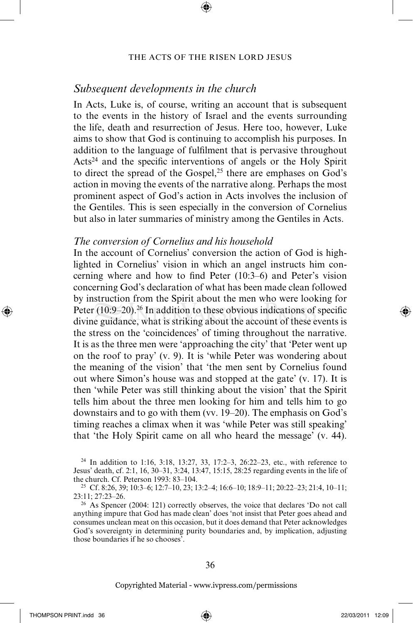## *Subsequent developments in the church*

In Acts, Luke is, of course, writing an account that is subsequent to the events in the history of Israel and the events surrounding the life, death and resurrection of Jesus. Here too, however, Luke aims to show that God is continuing to accomplish his purposes. In addition to the language of fulfilment that is pervasive throughout Acts<sup>24</sup> and the specific interventions of angels or the Holy Spirit to direct the spread of the Gospel,<sup>25</sup> there are emphases on God's action in moving the events of the narrative along. Perhaps the most prominent aspect of God's action in Acts involves the inclusion of the Gentiles. This is seen especially in the conversion of Cornelius but also in later summaries of ministry among the Gentiles in Acts.

#### *The conversion of Cornelius and his household*

In the account of Cornelius' conversion the action of God is highlighted in Cornelius' vision in which an angel instructs him concerning where and how to find Peter  $(10:3-6)$  and Peter's vision concerning God's declaration of what has been made clean followed by instruction from the Spirit about the men who were looking for Peter  $(10:9-20)$ .<sup>26</sup> In addition to these obvious indications of specific divine guidance, what is striking about the account of these events is the stress on the 'coincidences' of timing throughout the narrative. It is as the three men were 'approaching the city' that 'Peter went up on the roof to pray' (v. 9). It is 'while Peter was wondering about the meaning of the vision' that 'the men sent by Cornelius found out where Simon's house was and stopped at the gate' (v. 17). It is then 'while Peter was still thinking about the vision' that the Spirit tells him about the three men looking for him and tells him to go downstairs and to go with them (vv. 19–20). The emphasis on God's timing reaches a climax when it was 'while Peter was still speaking' that 'the Holy Spirit came on all who heard the message' (v. 44).

#### Copyrighted Material - www.ivpress.com/permissions

◈

<sup>24</sup> In addition to 1:16, 3:18, 13:27, 33, 17:2–3, 26:22–23, etc., with reference to Jesus' death, cf. 2:1, 16, 30–31, 3:24, 13:47, 15:15, 28:25 regarding events in the life of the church. Cf. Peterson 1993: 83–104.

<sup>25</sup> Cf. 8:26, 39; 10:3–6; 12:7–10, 23; 13:2–4; 16:6–10; 18:9–11; 20:22–23; 21:4, 10–11; 23:11; 27:23–26.

<sup>&</sup>lt;sup>26</sup> As Spencer (2004: 121) correctly observes, the voice that declares 'Do not call anything impure that God has made clean' does 'not insist that Peter goes ahead and consumes unclean meat on this occasion, but it does demand that Peter acknowledges God's sovereignty in determining purity boundaries and, by implication, adjusting those boundaries if he so chooses'.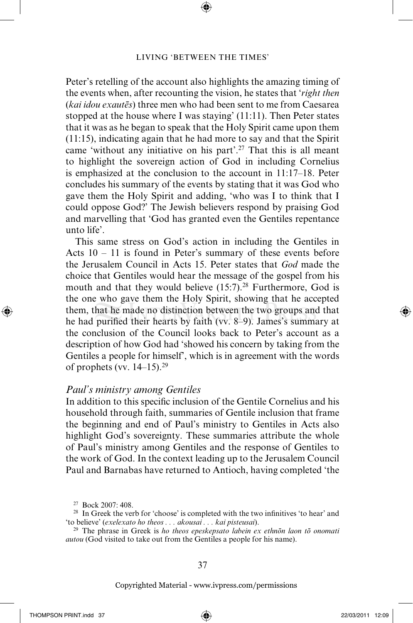Peter's retelling of the account also highlights the amazing timing of the events when, after recounting the vision, he states that '*right then* (*kai idou exautēs*) three men who had been sent to me from Caesarea stopped at the house where I was staying' (11:11). Then Peter states that it was as he began to speak that the Holy Spirit came upon them (11:15), indicating again that he had more to say and that the Spirit came 'without any initiative on his part'.27 That this is all meant to highlight the sovereign action of God in including Cornelius is emphasized at the conclusion to the account in 11:17–18. Peter concludes his summary of the events by stating that it was God who gave them the Holy Spirit and adding, 'who was I to think that I could oppose God?' The Jewish believers respond by praising God and marvelling that 'God has granted even the Gentiles repentance unto life'.

This same stress on God's action in including the Gentiles in Acts 10 – 11 is found in Peter's summary of these events before the Jerusalem Council in Acts 15. Peter states that *God* made the choice that Gentiles would hear the message of the gospel from his mouth and that they would believe (15:7).<sup>28</sup> Furthermore, God is the one who gave them the Holy Spirit, showing that he accepted them, that he made no distinction between the two groups and that he had purified their hearts by faith (vv. 8–9). James's summary at the conclusion of the Council looks back to Peter's account as a description of how God had 'showed his concern by taking from the Gentiles a people for himself', which is in agreement with the words of prophets (vv.  $14-15$ ).<sup>29</sup>

#### *Paul's ministry among Gentiles*

In addition to this specific inclusion of the Gentile Cornelius and his household through faith, summaries of Gentile inclusion that frame the beginning and end of Paul's ministry to Gentiles in Acts also highlight God's sovereignty. These summaries attribute the whole of Paul's ministry among Gentiles and the response of Gentiles to the work of God. In the context leading up to the Jerusalem Council Paul and Barnabas have returned to Antioch, having completed 'the

#### Copyrighted Material - www.ivpress.com/permissions

◈

<sup>27</sup> Bock 2007: 408.

 $2<sup>8</sup>$  In Greek the verb for 'choose' is completed with the two infinitives 'to hear' and 'to believe' (*exelexato ho theos . . . akousai . . . kai pisteusai*).

<sup>29</sup> The phrase in Greek is *ho theos epeskepsato labein ex ethnōn laon tō onomati autou* (God visited to take out from the Gentiles a people for his name).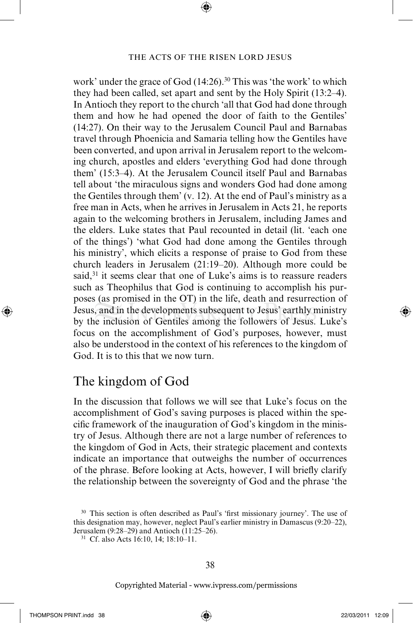⊕

work' under the grace of God (14:26).<sup>30</sup> This was 'the work' to which they had been called, set apart and sent by the Holy Spirit (13:2–4). In Antioch they report to the church 'all that God had done through them and how he had opened the door of faith to the Gentiles' (14:27). On their way to the Jerusalem Council Paul and Barnabas travel through Phoenicia and Samaria telling how the Gentiles have been converted, and upon arrival in Jerusalem report to the welcoming church, apostles and elders 'everything God had done through them' (15:3–4). At the Jerusalem Council itself Paul and Barnabas tell about 'the miraculous signs and wonders God had done among the Gentiles through them' (v. 12). At the end of Paul's ministry as a free man in Acts, when he arrives in Jerusalem in Acts 21, he reports again to the welcoming brothers in Jerusalem, including James and the elders. Luke states that Paul recounted in detail (lit. 'each one of the things') 'what God had done among the Gentiles through his ministry', which elicits a response of praise to God from these church leaders in Jerusalem (21:19–20). Although more could be said,<sup>31</sup> it seems clear that one of Luke's aims is to reassure readers such as Theophilus that God is continuing to accomplish his purposes (as promised in the OT) in the life, death and resurrection of Jesus, and in the developments subsequent to Jesus' earthly ministry by the inclusion of Gentiles among the followers of Jesus. Luke's focus on the accomplishment of God's purposes, however, must also be understood in the context of his references to the kingdom of God. It is to this that we now turn.

## The kingdom of God

In the discussion that follows we will see that Luke's focus on the accomplishment of God's saving purposes is placed within the specific framework of the inauguration of God's kingdom in the ministry of Jesus. Although there are not a large number of references to the kingdom of God in Acts, their strategic placement and contexts indicate an importance that outweighs the number of occurrences of the phrase. Before looking at Acts, however, I will briefly clarify the relationship between the sovereignty of God and the phrase 'the

#### Copyrighted Material - www.ivpress.com/permissions

◈

<sup>&</sup>lt;sup>30</sup> This section is often described as Paul's 'first missionary journey'. The use of this designation may, however, neglect Paul's earlier ministry in Damascus (9:20–22), Jerusalem (9:28–29) and Antioch (11:25–26).

<sup>31</sup> Cf. also Acts 16:10, 14; 18:10–11.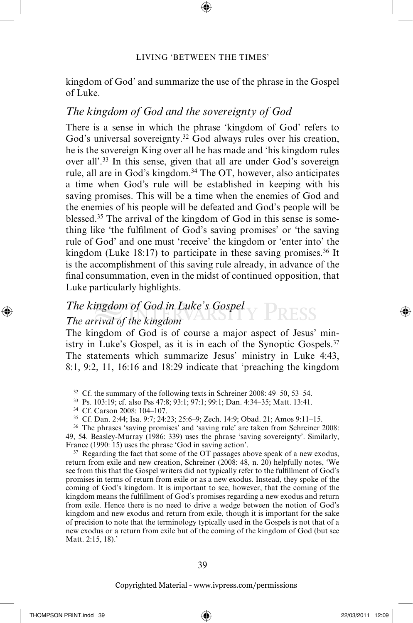kingdom of God' and summarize the use of the phrase in the Gospel of Luke.

## *The kingdom of God and the sovereignty of God*

There is a sense in which the phrase 'kingdom of God' refers to God's universal sovereignty.<sup>32</sup> God always rules over his creation, he is the sovereign King over all he has made and 'his kingdom rules over all'.33 In this sense, given that all are under God's sovereign rule, all are in God's kingdom.<sup>34</sup> The OT, however, also anticipates a time when God's rule will be established in keeping with his saving promises. This will be a time when the enemies of God and the enemies of his people will be defeated and God's people will be blessed.35 The arrival of the kingdom of God in this sense is something like 'the fulfilment of God's saving promises' or 'the saving rule of God' and one must 'receive' the kingdom or 'enter into' the kingdom (Luke 18:17) to participate in these saving promises.<sup>36</sup> It is the accomplishment of this saving rule already, in advance of the final consummation, even in the midst of continued opposition, that Luke particularly highlights.

## *The kingdom of God in Luke's Gospel The arrival of the kingdom*

The kingdom of God is of course a major aspect of Jesus' ministry in Luke's Gospel, as it is in each of the Synoptic Gospels.<sup>37</sup> The statements which summarize Jesus' ministry in Luke 4:43, 8:1, 9:2, 11, 16:16 and 18:29 indicate that 'preaching the kingdom

<sup>32</sup> Cf. the summary of the following texts in Schreiner 2008: 49–50, 53–54.

33 Ps. 103:19; cf. also Pss 47:8; 93:1; 97:1; 99:1; Dan. 4:34–35; Matt. 13:41.

34 Cf. Carson 2008: 104–107.

35 Cf. Dan. 2:44; Isa. 9:7; 24:23; 25:6–9; Zech. 14:9; Obad. 21; Amos 9:11–15.

36 The phrases 'saving promises' and 'saving rule' are taken from Schreiner 2008: 49, 54. Beasley-Murray (1986: 339) uses the phrase 'saving sovereignty'. Similarly, France (1990: 15) uses the phrase 'God in saving action'.

<sup>37</sup> Regarding the fact that some of the OT passages above speak of a new exodus, return from exile and new creation, Schreiner (2008: 48, n. 20) helpfully notes, 'We see from this that the Gospel writers did not typically refer to the fulfillment of God's promises in terms of return from exile or as a new exodus. Instead, they spoke of the coming of God's kingdom. It is important to see, however, that the coming of the kingdom means the fulfillment of God's promises regarding a new exodus and return from exile. Hence there is no need to drive a wedge between the notion of God's kingdom and new exodus and return from exile, though it is important for the sake of precision to note that the terminology typically used in the Gospels is not that of a new exodus or a return from exile but of the coming of the kingdom of God (but see Matt. 2:15, 18).'

39

#### Copyrighted Material - www.ivpress.com/permissions

◈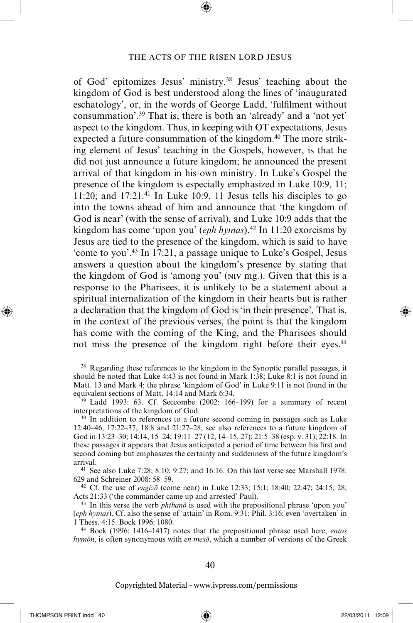of God' epitomizes Jesus' ministry.38 Jesus' teaching about the kingdom of God is best understood along the lines of 'inaugurated eschatology', or, in the words of George Ladd, 'fulfilment without consummation'.39 That is, there is both an 'already' and a 'not yet' aspect to the kingdom. Thus, in keeping with OT expectations, Jesus expected a future consummation of the kingdom.<sup>40</sup> The more striking element of Jesus' teaching in the Gospels, however, is that he did not just announce a future kingdom; he announced the present arrival of that kingdom in his own ministry. In Luke's Gospel the presence of the kingdom is especially emphasized in Luke 10:9, 11; 11:20; and  $17:21$ .<sup>41</sup> In Luke 10:9, 11 Jesus tells his disciples to go into the towns ahead of him and announce that 'the kingdom of God is near' (with the sense of arrival), and Luke 10:9 adds that the kingdom has come 'upon you' (*eph hymas*).42 In 11:20 exorcisms by Jesus are tied to the presence of the kingdom, which is said to have 'come to you'.43 In 17:21, a passage unique to Luke's Gospel, Jesus answers a question about the kingdom's presence by stating that the kingdom of God is 'among you' (niv mg.). Given that this is a response to the Pharisees, it is unlikely to be a statement about a spiritual internalization of the kingdom in their hearts but is rather a declaration that the kingdom of God is 'in their presence'. That is, in the context of the previous verses, the point is that the kingdom has come with the coming of the King, and the Pharisees should not miss the presence of the kingdom right before their eyes.<sup>44</sup>

41 See also Luke 7:28; 8:10; 9:27; and 16:16. On this last verse see Marshall 1978: 629 and Schreiner 2008: 58–59.

42 Cf. the use of *engizō* (come near) in Luke 12:33; 15:1; 18:40; 22:47; 24:15, 28; Acts 21:33 ('the commander came up and arrested' Paul).

43 In this verse the verb *phthanō* is used with the prepositional phrase 'upon you' (*eph hymas*). Cf. also the sense of 'attain' in Rom. 9:31; Phil. 3:16; even 'overtaken' in 1 Thess. 4:15. Bock 1996: 1080.

44 Bock (1996: 1416–1417) notes that the prepositional phrase used here, *entos hymōn*, is often synonymous with *en mesō*, which a number of versions of the Greek

#### 40

#### Copyrighted Material - www.ivpress.com/permissions

⊕

<sup>&</sup>lt;sup>38</sup> Regarding these references to the kingdom in the Synoptic parallel passages, it should be noted that Luke 4:43 is not found in Mark 1:38; Luke 8:1 is not found in Matt. 13 and Mark 4; the phrase 'kingdom of God' in Luke 9:11 is not found in the equivalent sections of Matt. 14:14 and Mark 6:34.

 $39$  Ladd 1993: 63. Cf. Seccombe (2002: 166–199) for a summary of recent interpretations of the kingdom of God.

<sup>40</sup> In addition to references to a future second coming in passages such as Luke 12:40–46, 17:22–37, 18:8 and 21:27–28, see also references to a future kingdom of God in 13:23–30; 14:14, 15–24; 19:11–27 (12, 14–15, 27); 21:5–38 (esp. v. 31); 22:18. In these passages it appears that Jesus anticipated a period of time between his first and second coming but emphasizes the certainty and suddenness of the future kingdom's arrival.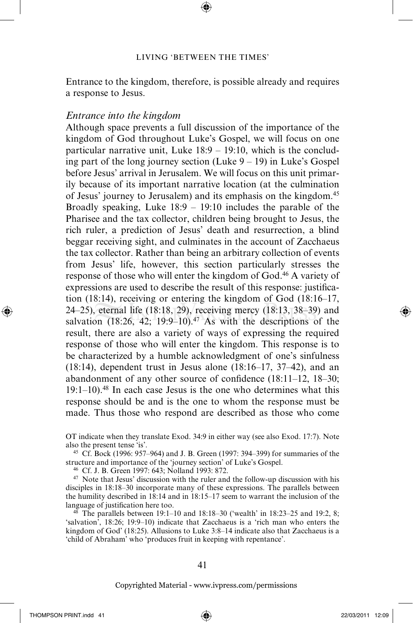Entrance to the kingdom, therefore, is possible already and requires a response to Jesus.

#### *Entrance into the kingdom*

Although space prevents a full discussion of the importance of the kingdom of God throughout Luke's Gospel, we will focus on one particular narrative unit, Luke 18:9 – 19:10, which is the concluding part of the long journey section (Luke  $9 - 19$ ) in Luke's Gospel before Jesus' arrival in Jerusalem. We will focus on this unit primarily because of its important narrative location (at the culmination of Jesus' journey to Jerusalem) and its emphasis on the kingdom.45 Broadly speaking, Luke 18:9 – 19:10 includes the parable of the Pharisee and the tax collector, children being brought to Jesus, the rich ruler, a prediction of Jesus' death and resurrection, a blind beggar receiving sight, and culminates in the account of Zacchaeus the tax collector. Rather than being an arbitrary collection of events from Jesus' life, however, this section particularly stresses the response of those who will enter the kingdom of God.46 A variety of expressions are used to describe the result of this response: justification (18:14), receiving or entering the kingdom of God (18:16–17, 24–25), eternal life (18:18, 29), receiving mercy (18:13, 38–39) and salvation  $(18:26, 42; 19:9-10).$ <sup>47</sup> As with the descriptions of the result, there are also a variety of ways of expressing the required response of those who will enter the kingdom. This response is to be characterized by a humble acknowledgment of one's sinfulness (18:14), dependent trust in Jesus alone  $(18:16-17, 37-42)$ , and an abandonment of any other source of confidence  $(18:11-12, 18-30;$ 19:1–10).48 In each case Jesus is the one who determines what this response should be and is the one to whom the response must be made. Thus those who respond are described as those who come

OT indicate when they translate Exod. 34:9 in either way (see also Exod. 17:7). Note also the present tense 'is'.

45 Cf. Bock (1996: 957–964) and J. B. Green (1997: 394–399) for summaries of the structure and importance of the 'journey section' of Luke's Gospel.

46 Cf. J. B. Green 1997: 643; Nolland 1993: 872.

47 Note that Jesus' discussion with the ruler and the follow-up discussion with his disciples in 18:18–30 incorporate many of these expressions. The parallels between the humility described in 18:14 and in 18:15–17 seem to warrant the inclusion of the language of justification here too.

<sup>48</sup> The parallels between 19:1–10 and 18:18–30 ('wealth' in 18:23–25 and 19:2, 8; 'salvation', 18:26; 19:9–10) indicate that Zacchaeus is a 'rich man who enters the kingdom of God' (18:25). Allusions to Luke 3:8–14 indicate also that Zacchaeus is a 'child of Abraham' who 'produces fruit in keeping with repentance'.

#### Copyrighted Material - www.ivpress.com/permissions

◈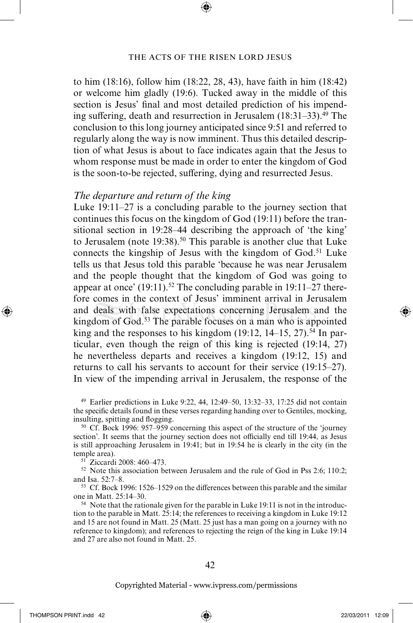to him (18:16), follow him (18:22, 28, 43), have faith in him (18:42) or welcome him gladly (19:6). Tucked away in the middle of this section is Jesus' final and most detailed prediction of his impending suffering, death and resurrection in Jerusalem  $(18:31-33)$ .<sup>49</sup> The conclusion to this long journey anticipated since 9:51 and referred to regularly along the way is now imminent. Thus this detailed description of what Jesus is about to face indicates again that the Jesus to whom response must be made in order to enter the kingdom of God is the soon-to-be rejected, suffering, dying and resurrected Jesus.

#### *The departure and return of the king*

Luke 19:11–27 is a concluding parable to the journey section that continues this focus on the kingdom of God (19:11) before the transitional section in 19:28–44 describing the approach of 'the king' to Jerusalem (note  $19:38$ ).<sup>50</sup> This parable is another clue that Luke connects the kingship of Jesus with the kingdom of God.51 Luke tells us that Jesus told this parable 'because he was near Jerusalem and the people thought that the kingdom of God was going to appear at once' (19:11).<sup>52</sup> The concluding parable in 19:11–27 therefore comes in the context of Jesus' imminent arrival in Jerusalem and deals with false expectations concerning Jerusalem and the kingdom of God.<sup>53</sup> The parable focuses on a man who is appointed king and the responses to his kingdom  $(19:12, 14-15, 27)$ .<sup>54</sup> In particular, even though the reign of this king is rejected (19:14, 27) he nevertheless departs and receives a kingdom (19:12, 15) and returns to call his servants to account for their service (19:15–27). In view of the impending arrival in Jerusalem, the response of the

49 Earlier predictions in Luke 9:22, 44, 12:49–50, 13:32–33, 17:25 did not contain the specific details found in these verses regarding handing over to Gentiles, mocking, insulting, spitting and flogging.

50 Cf. Bock 1996: 957–959 concerning this aspect of the structure of the 'journey section'. It seems that the journey section does not officially end till 19:44, as Jesus is still approaching Jerusalem in 19:41; but in 19:54 he is clearly in the city (in the temple area).

<sup>51</sup> Ziccardi 2008: 460–473.

<sup>52</sup> Note this association between Jerusalem and the rule of God in Pss 2:6; 110:2; and Isa. 52:7–8.

 $53$  Cf. Bock 1996: 1526–1529 on the differences between this parable and the similar one in Matt. 25:14–30.

<sup>54</sup> Note that the rationale given for the parable in Luke 19:11 is not in the introduction to the parable in Matt. 25:14; the references to receiving a kingdom in Luke 19:12 and 15 are not found in Matt. 25 (Matt. 25 just has a man going on a journey with no reference to kingdom); and references to rejecting the reign of the king in Luke 19:14 and 27 are also not found in Matt. 25.

#### Copyrighted Material - www.ivpress.com/permissions

◈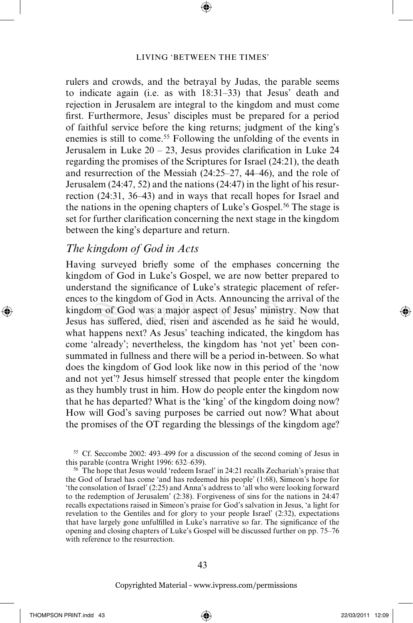rulers and crowds, and the betrayal by Judas, the parable seems to indicate again (i.e. as with 18:31–33) that Jesus' death and rejection in Jerusalem are integral to the kingdom and must come first. Furthermore, Jesus' disciples must be prepared for a period of faithful service before the king returns; judgment of the king's enemies is still to come.<sup>55</sup> Following the unfolding of the events in Jerusalem in Luke  $20 - 23$ , Jesus provides clarification in Luke 24 regarding the promises of the Scriptures for Israel (24:21), the death and resurrection of the Messiah (24:25–27, 44–46), and the role of Jerusalem (24:47, 52) and the nations (24:47) in the light of his resurrection (24:31, 36–43) and in ways that recall hopes for Israel and the nations in the opening chapters of Luke's Gospel.<sup>56</sup> The stage is set for further clarification concerning the next stage in the kingdom between the king's departure and return.

## *The kingdom of God in Acts*

Having surveyed briefly some of the emphases concerning the kingdom of God in Luke's Gospel, we are now better prepared to understand the significance of Luke's strategic placement of references to the kingdom of God in Acts. Announcing the arrival of the kingdom of God was a major aspect of Jesus' ministry. Now that Jesus has suffered, died, risen and ascended as he said he would, what happens next? As Jesus' teaching indicated, the kingdom has come 'already'; nevertheless, the kingdom has 'not yet' been consummated in fullness and there will be a period in-between. So what does the kingdom of God look like now in this period of the 'now and not yet'? Jesus himself stressed that people enter the kingdom as they humbly trust in him. How do people enter the kingdom now that he has departed? What is the 'king' of the kingdom doing now? How will God's saving purposes be carried out now? What about the promises of the OT regarding the blessings of the kingdom age?

#### Copyrighted Material - www.ivpress.com/permissions

◈

<sup>55</sup> Cf. Seccombe 2002: 493–499 for a discussion of the second coming of Jesus in this parable (contra Wright 1996: 632–639).

<sup>&</sup>lt;sup>56</sup> The hope that Jesus would 'redeem Israel' in 24:21 recalls Zechariah's praise that the God of Israel has come 'and has redeemed his people' (1:68), Simeon's hope for 'the consolation of Israel' (2:25) and Anna's address to 'all who were looking forward to the redemption of Jerusalem' (2:38). Forgiveness of sins for the nations in 24:47 recalls expectations raised in Simeon's praise for God's salvation in Jesus, 'a light for revelation to the Gentiles and for glory to your people Israel' (2:32), expectations that have largely gone unfulfilled in Luke's narrative so far. The significance of the opening and closing chapters of Luke's Gospel will be discussed further on pp. 75–76 with reference to the resurrection.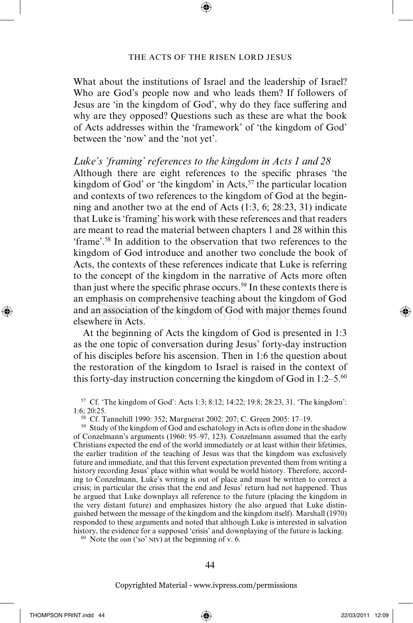What about the institutions of Israel and the leadership of Israel? Who are God's people now and who leads them? If followers of Jesus are 'in the kingdom of God', why do they face suffering and why are they opposed? Questions such as these are what the book of Acts addresses within the 'framework' of 'the kingdom of God' between the 'now' and the 'not yet'.

#### *Luke's 'framing' references to the kingdom in Acts 1 and 28*

Although there are eight references to the specific phrases 'the kingdom of God' or 'the kingdom' in Acts,<sup>57</sup> the particular location and contexts of two references to the kingdom of God at the beginning and another two at the end of Acts (1:3, 6; 28:23, 31) indicate that Luke is 'framing' his work with these references and that readers are meant to read the material between chapters 1 and 28 within this 'frame'.58 In addition to the observation that two references to the kingdom of God introduce and another two conclude the book of Acts, the contexts of these references indicate that Luke is referring to the concept of the kingdom in the narrative of Acts more often than just where the specific phrase occurs.<sup>59</sup> In these contexts there is an emphasis on comprehensive teaching about the kingdom of God and an association of the kingdom of God with major themes found elsewhere in Acts.

At the beginning of Acts the kingdom of God is presented in 1:3 as the one topic of conversation during Jesus' forty-day instruction of his disciples before his ascension. Then in 1:6 the question about the restoration of the kingdom to Israel is raised in the context of this forty-day instruction concerning the kingdom of God in  $1:2-5.60$ 

57 Cf. 'The kingdom of God': Acts 1:3; 8:12; 14:22; 19:8; 28:23, 31. 'The kingdom': 1:6; 20:25.

58 Cf. Tannehill 1990: 352; Marguerat 2002: 207; C. Green 2005: 17–19.

<sup>59</sup> Study of the kingdom of God and eschatology in Acts is often done in the shadow of Conzelmann's arguments (1960: 95–97, 123). Conzelmann assumed that the early Christians expected the end of the world immediately or at least within their lifetimes, the earlier tradition of the teaching of Jesus was that the kingdom was exclusively future and immediate, and that this fervent expectation prevented them from writing a history recording Jesus' place within what would be world history. Therefore, according to Conzelmann, Luke's writing is out of place and must be written to correct a crisis; in particular the crisis that the end and Jesus' return had not happened. Thus he argued that Luke downplays all reference to the future (placing the kingdom in the very distant future) and emphasizes history (he also argued that Luke distinguished between the message of the kingdom and the kingdom itself). Marshall (1970) responded to these arguments and noted that although Luke is interested in salvation history, the evidence for a supposed 'crisis' and downplaying of the future is lacking.

 $60$  Note the *oun* ('so' NIV) at the beginning of v. 6.

#### 44

#### Copyrighted Material - www.ivpress.com/permissions

◈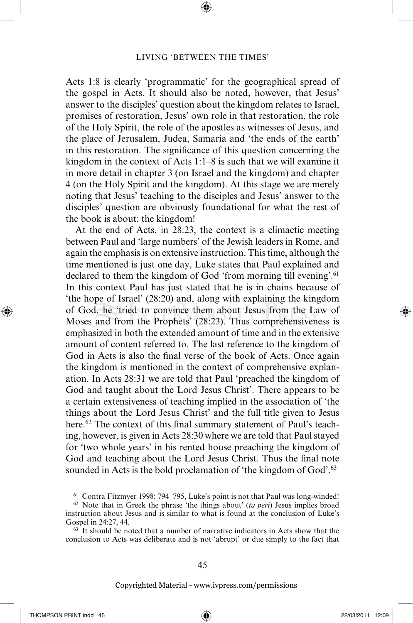Acts 1:8 is clearly 'programmatic' for the geographical spread of the gospel in Acts. It should also be noted, however, that Jesus' answer to the disciples' question about the kingdom relates to Israel, promises of restoration, Jesus' own role in that restoration, the role of the Holy Spirit, the role of the apostles as witnesses of Jesus, and the place of Jerusalem, Judea, Samaria and 'the ends of the earth' in this restoration. The significance of this question concerning the kingdom in the context of Acts 1:1–8 is such that we will examine it in more detail in chapter 3 (on Israel and the kingdom) and chapter 4 (on the Holy Spirit and the kingdom). At this stage we are merely noting that Jesus' teaching to the disciples and Jesus' answer to the disciples' question are obviously foundational for what the rest of the book is about: the kingdom!

At the end of Acts, in 28:23, the context is a climactic meeting between Paul and 'large numbers' of the Jewish leaders in Rome, and again the emphasis is on extensive instruction. This time, although the time mentioned is just one day, Luke states that Paul explained and declared to them the kingdom of God 'from morning till evening'.<sup>61</sup> In this context Paul has just stated that he is in chains because of 'the hope of Israel' (28:20) and, along with explaining the kingdom of God, he 'tried to convince them about Jesus from the Law of Moses and from the Prophets' (28:23). Thus comprehensiveness is emphasized in both the extended amount of time and in the extensive amount of content referred to. The last reference to the kingdom of God in Acts is also the final verse of the book of Acts. Once again the kingdom is mentioned in the context of comprehensive explanation. In Acts 28:31 we are told that Paul 'preached the kingdom of God and taught about the Lord Jesus Christ'. There appears to be a certain extensiveness of teaching implied in the association of 'the things about the Lord Jesus Christ' and the full title given to Jesus here.<sup>62</sup> The context of this final summary statement of Paul's teaching, however, is given in Acts 28:30 where we are told that Paul stayed for 'two whole years' in his rented house preaching the kingdom of God and teaching about the Lord Jesus Christ. Thus the final note sounded in Acts is the bold proclamation of 'the kingdom of God'.<sup>63</sup>

#### Copyrighted Material - www.ivpress.com/permissions

◈

<sup>61</sup> Contra Fitzmyer 1998: 794–795, Luke's point is not that Paul was long-winded!

<sup>62</sup> Note that in Greek the phrase 'the things about' (*ta peri*) Jesus implies broad instruction about Jesus and is similar to what is found at the conclusion of Luke's Gospel in 24:27, 44.

 $63$  It should be noted that a number of narrative indicators in Acts show that the conclusion to Acts was deliberate and is not 'abrupt' or due simply to the fact that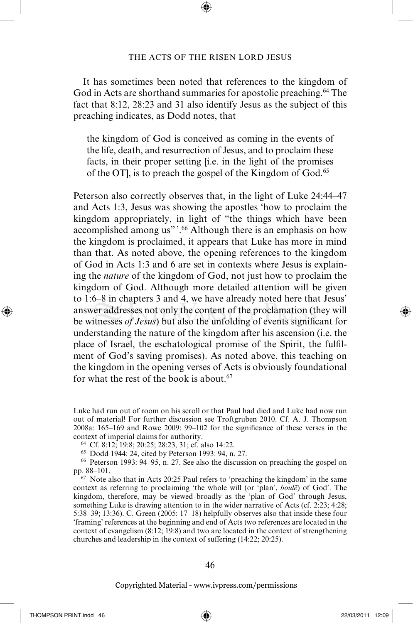It has sometimes been noted that references to the kingdom of God in Acts are shorthand summaries for apostolic preaching.<sup>64</sup> The fact that 8:12, 28:23 and 31 also identify Jesus as the subject of this preaching indicates, as Dodd notes, that

the kingdom of God is conceived as coming in the events of the life, death, and resurrection of Jesus, and to proclaim these facts, in their proper setting [i.e. in the light of the promises of the OT], is to preach the gospel of the Kingdom of God.65

Peterson also correctly observes that, in the light of Luke 24:44–47 and Acts 1:3, Jesus was showing the apostles 'how to proclaim the kingdom appropriately, in light of "the things which have been accomplished among us"'.<sup>66</sup> Although there is an emphasis on how the kingdom is proclaimed, it appears that Luke has more in mind than that. As noted above, the opening references to the kingdom of God in Acts 1:3 and 6 are set in contexts where Jesus is explaining the *nature* of the kingdom of God, not just how to proclaim the kingdom of God. Although more detailed attention will be given to 1:6–8 in chapters 3 and 4, we have already noted here that Jesus' answer addresses not only the content of the proclamation (they will be witnesses *of Jesus*) but also the unfolding of events significant for understanding the nature of the kingdom after his ascension (i.e. the place of Israel, the eschatological promise of the Spirit, the fulfilment of God's saving promises). As noted above, this teaching on the kingdom in the opening verses of Acts is obviously foundational for what the rest of the book is about.<sup>67</sup>

Luke had run out of room on his scroll or that Paul had died and Luke had now run out of material! For further discussion see Troftgruben 2010. Cf. A. J. Thompson 2008a:  $165-169$  and Rowe 2009: 99-102 for the significance of these verses in the context of imperial claims for authority.

64 Cf. 8:12; 19:8; 20:25; 28:23, 31; cf. also 14:22.

65 Dodd 1944: 24, cited by Peterson 1993: 94, n. 27.

66 Peterson 1993: 94–95, n. 27. See also the discussion on preaching the gospel on pp. 88–101.

67 Note also that in Acts 20:25 Paul refers to 'preaching the kingdom' in the same context as referring to proclaiming 'the whole will (or 'plan', *boulē*) of God'. The kingdom, therefore, may be viewed broadly as the 'plan of God' through Jesus, something Luke is drawing attention to in the wider narrative of Acts (cf. 2:23; 4:28; 5:38–39; 13:36). C. Green (2005: 17–18) helpfully observes also that inside these four 'framing' references at the beginning and end of Acts two references are located in the context of evangelism (8:12; 19:8) and two are located in the context of strengthening churches and leadership in the context of suffering  $(14:22; 20:25)$ .

46

#### Copyrighted Material - www.ivpress.com/permissions

◈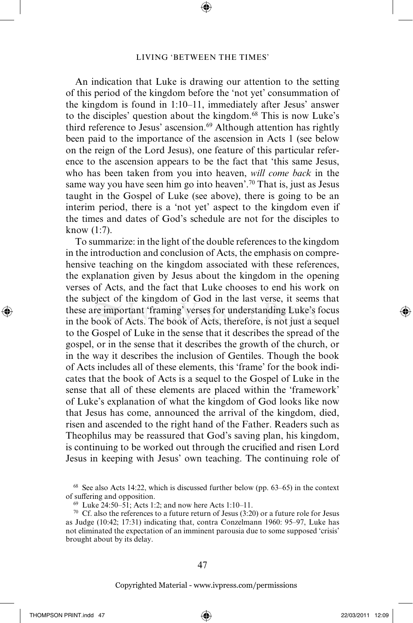An indication that Luke is drawing our attention to the setting of this period of the kingdom before the 'not yet' consummation of the kingdom is found in 1:10–11, immediately after Jesus' answer to the disciples' question about the kingdom.<sup>68</sup> This is now Luke's third reference to Jesus' ascension.<sup>69</sup> Although attention has rightly been paid to the importance of the ascension in Acts 1 (see below on the reign of the Lord Jesus), one feature of this particular reference to the ascension appears to be the fact that 'this same Jesus, who has been taken from you into heaven, *will come back* in the same way you have seen him go into heaven'.<sup>70</sup> That is, just as Jesus taught in the Gospel of Luke (see above), there is going to be an interim period, there is a 'not yet' aspect to the kingdom even if the times and dates of God's schedule are not for the disciples to know (1:7).

To summarize: in the light of the double references to the kingdom in the introduction and conclusion of Acts, the emphasis on comprehensive teaching on the kingdom associated with these references, the explanation given by Jesus about the kingdom in the opening verses of Acts, and the fact that Luke chooses to end his work on the subject of the kingdom of God in the last verse, it seems that these are important 'framing' verses for understanding Luke's focus in the book of Acts. The book of Acts, therefore, is not just a sequel to the Gospel of Luke in the sense that it describes the spread of the gospel, or in the sense that it describes the growth of the church, or in the way it describes the inclusion of Gentiles. Though the book of Acts includes all of these elements, this 'frame' for the book indicates that the book of Acts is a sequel to the Gospel of Luke in the sense that all of these elements are placed within the 'framework' of Luke's explanation of what the kingdom of God looks like now that Jesus has come, announced the arrival of the kingdom, died, risen and ascended to the right hand of the Father. Readers such as Theophilus may be reassured that God's saving plan, his kingdom, is continuing to be worked out through the crucified and risen Lord Jesus in keeping with Jesus' own teaching. The continuing role of

#### Copyrighted Material - www.ivpress.com/permissions

◈

 $68$  See also Acts 14:22, which is discussed further below (pp.  $63-65$ ) in the context of suffering and opposition.

 $69$  Luke 24:50–51; Acts 1:2; and now here Acts 1:10–11.

<sup>&</sup>lt;sup>70</sup> Cf. also the references to a future return of Jesus  $(3:20)$  or a future role for Jesus as Judge (10:42; 17:31) indicating that, contra Conzelmann 1960: 95–97, Luke has not eliminated the expectation of an imminent parousia due to some supposed 'crisis' brought about by its delay.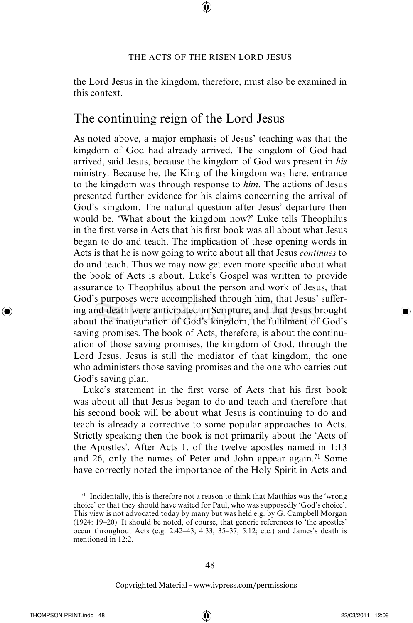⊕

the Lord Jesus in the kingdom, therefore, must also be examined in this context.

## The continuing reign of the Lord Jesus

As noted above, a major emphasis of Jesus' teaching was that the kingdom of God had already arrived. The kingdom of God had arrived, said Jesus, because the kingdom of God was present in *his*  ministry. Because he, the King of the kingdom was here, entrance to the kingdom was through response to *him*. The actions of Jesus presented further evidence for his claims concerning the arrival of God's kingdom. The natural question after Jesus' departure then would be, 'What about the kingdom now?' Luke tells Theophilus in the first verse in Acts that his first book was all about what Jesus began to do and teach. The implication of these opening words in Acts is that he is now going to write about all that Jesus *continues* to do and teach. Thus we may now get even more specific about what the book of Acts is about. Luke's Gospel was written to provide assurance to Theophilus about the person and work of Jesus, that God's purposes were accomplished through him, that Jesus' suffering and death were anticipated in Scripture, and that Jesus brought about the inauguration of God's kingdom, the fulfilment of God's saving promises. The book of Acts, therefore, is about the continuation of those saving promises, the kingdom of God, through the Lord Jesus. Jesus is still the mediator of that kingdom, the one who administers those saving promises and the one who carries out God's saving plan.

Luke's statement in the first verse of Acts that his first book was about all that Jesus began to do and teach and therefore that his second book will be about what Jesus is continuing to do and teach is already a corrective to some popular approaches to Acts. Strictly speaking then the book is not primarily about the 'Acts of the Apostles'. After Acts 1, of the twelve apostles named in 1:13 and 26, only the names of Peter and John appear again.<sup>71</sup> Some have correctly noted the importance of the Holy Spirit in Acts and

#### Copyrighted Material - www.ivpress.com/permissions

◈

 $71$  Incidentally, this is therefore not a reason to think that Matthias was the 'wrong' choice' or that they should have waited for Paul, who was supposedly 'God's choice'. This view is not advocated today by many but was held e.g. by G. Campbell Morgan (1924: 19–20). It should be noted, of course, that generic references to 'the apostles' occur throughout Acts (e.g. 2:42–43; 4:33, 35–37; 5:12; etc.) and James's death is mentioned in 12:2.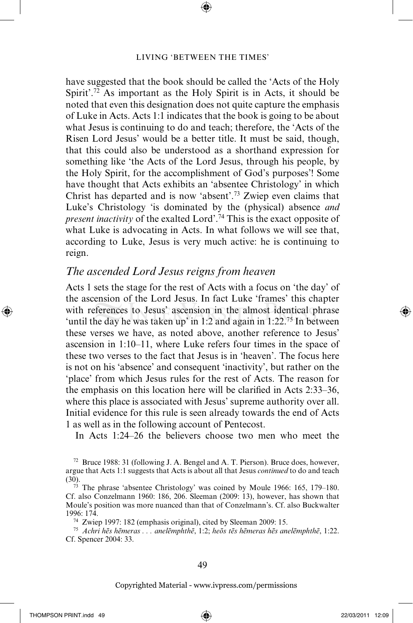have suggested that the book should be called the 'Acts of the Holy Spirit'.<sup>72</sup> As important as the Holy Spirit is in Acts, it should be noted that even this designation does not quite capture the emphasis of Luke in Acts. Acts 1:1 indicates that the book is going to be about what Jesus is continuing to do and teach; therefore, the 'Acts of the Risen Lord Jesus' would be a better title. It must be said, though, that this could also be understood as a shorthand expression for something like 'the Acts of the Lord Jesus, through his people, by the Holy Spirit, for the accomplishment of God's purposes'! Some have thought that Acts exhibits an 'absentee Christology' in which Christ has departed and is now 'absent'.73 Zwiep even claims that Luke's Christology 'is dominated by the (physical) absence *and present inactivity* of the exalted Lord'.74 This is the exact opposite of what Luke is advocating in Acts. In what follows we will see that, according to Luke, Jesus is very much active: he is continuing to reign.

## *The ascended Lord Jesus reigns from heaven*

Acts 1 sets the stage for the rest of Acts with a focus on 'the day' of the ascension of the Lord Jesus. In fact Luke 'frames' this chapter with references to Jesus' ascension in the almost identical phrase 'until the day he was taken up' in 1:2 and again in 1:22.75 In between these verses we have, as noted above, another reference to Jesus' ascension in 1:10–11, where Luke refers four times in the space of these two verses to the fact that Jesus is in 'heaven'. The focus here is not on his 'absence' and consequent 'inactivity', but rather on the 'place' from which Jesus rules for the rest of Acts. The reason for the emphasis on this location here will be clarified in Acts  $2:33-36$ , where this place is associated with Jesus' supreme authority over all. Initial evidence for this rule is seen already towards the end of Acts 1 as well as in the following account of Pentecost.

In Acts 1:24–26 the believers choose two men who meet the

#### Copyrighted Material - www.ivpress.com/permissions

◈

<sup>72</sup> Bruce 1988: 31 (following J. A. Bengel and A. T. Pierson). Bruce does, however, argue that Acts 1:1 suggests that Acts is about all that Jesus *continued* to do and teach (30).

 $73$  The phrase 'absentee Christology' was coined by Moule 1966: 165, 179–180. Cf. also Conzelmann 1960: 186, 206. Sleeman (2009: 13), however, has shown that Moule's position was more nuanced than that of Conzelmann's. Cf. also Buckwalter 1996: 174.

<sup>74</sup> Zwiep 1997: 182 (emphasis original), cited by Sleeman 2009: 15.

<sup>75</sup> *Achri hēs hēmeras . . . anelēmphthē*, 1:2; *heōs tēs hēmeras hēs anelēmphthē*, 1:22. Cf. Spencer 2004: 33.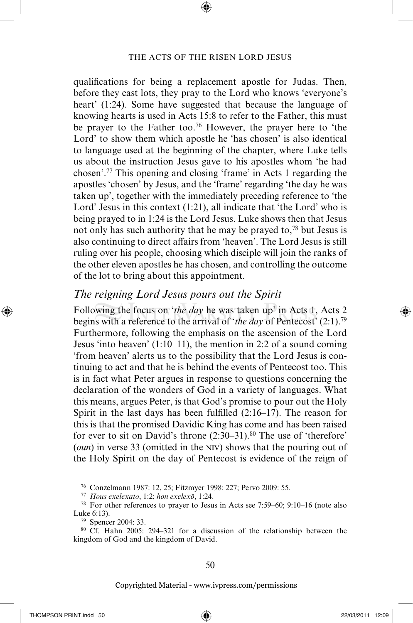⊕

qualifications for being a replacement apostle for Judas. Then, before they cast lots, they pray to the Lord who knows 'everyone's heart' (1:24). Some have suggested that because the language of knowing hearts is used in Acts 15:8 to refer to the Father, this must be prayer to the Father too.76 However, the prayer here to 'the Lord' to show them which apostle he 'has chosen' is also identical to language used at the beginning of the chapter, where Luke tells us about the instruction Jesus gave to his apostles whom 'he had chosen'.77 This opening and closing 'frame' in Acts 1 regarding the apostles 'chosen' by Jesus, and the 'frame' regarding 'the day he was taken up', together with the immediately preceding reference to 'the Lord' Jesus in this context (1:21), all indicate that 'the Lord' who is being prayed to in 1:24 is the Lord Jesus. Luke shows then that Jesus not only has such authority that he may be prayed to,78 but Jesus is also continuing to direct affairs from 'heaven'. The Lord Jesus is still ruling over his people, choosing which disciple will join the ranks of the other eleven apostles he has chosen, and controlling the outcome of the lot to bring about this appointment.

## *The reigning Lord Jesus pours out the Spirit*

Following the focus on '*the day* he was taken up' in Acts 1, Acts 2 begins with a reference to the arrival of '*the day* of Pentecost' (2:1).79 Furthermore, following the emphasis on the ascension of the Lord Jesus 'into heaven' (1:10–11), the mention in 2:2 of a sound coming 'from heaven' alerts us to the possibility that the Lord Jesus is continuing to act and that he is behind the events of Pentecost too. This is in fact what Peter argues in response to questions concerning the declaration of the wonders of God in a variety of languages. What this means, argues Peter, is that God's promise to pour out the Holy Spirit in the last days has been fulfilled  $(2:16-17)$ . The reason for this is that the promised Davidic King has come and has been raised for ever to sit on David's throne  $(2:30-31)$ .<sup>80</sup> The use of 'therefore' (*oun*) in verse 33 (omitted in the niv) shows that the pouring out of the Holy Spirit on the day of Pentecost is evidence of the reign of

76 Conzelmann 1987: 12, 25; Fitzmyer 1998: 227; Pervo 2009: 55.

<sup>77</sup> *Hous exelexato*, 1:2; *hon exelexō*, 1:24.

78 For other references to prayer to Jesus in Acts see 7:59–60; 9:10–16 (note also Luke 6:13).

79 Spencer 2004: 33.

 $80 \text{ }\hat{C}f$ . Hahn 2005: 294–321 for a discussion of the relationship between the kingdom of God and the kingdom of David.

#### 50

#### Copyrighted Material - www.ivpress.com/permissions

◈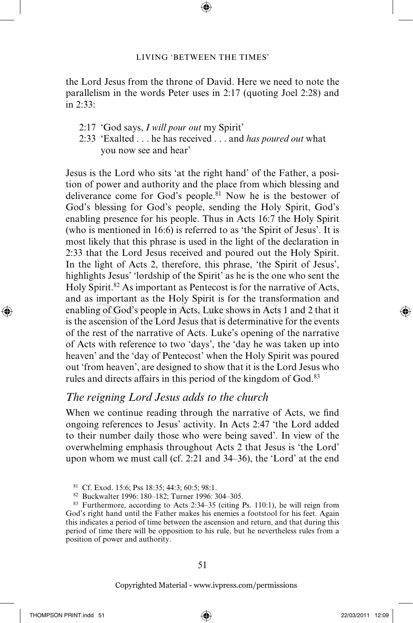the Lord Jesus from the throne of David. Here we need to note the parallelism in the words Peter uses in 2:17 (quoting Joel 2:28) and in 2:33:

- 2:17 'God says, *I will pour out* my Spirit'
- 2:33 'Exalted . . . he has received . . . and *has poured out* what you now see and hear'

Jesus is the Lord who sits 'at the right hand' of the Father, a position of power and authority and the place from which blessing and deliverance come for God's people.<sup>81</sup> Now he is the bestower of God's blessing for God's people, sending the Holy Spirit, God's enabling presence for his people. Thus in Acts 16:7 the Holy Spirit (who is mentioned in 16:6) is referred to as 'the Spirit of Jesus'. It is most likely that this phrase is used in the light of the declaration in 2:33 that the Lord Jesus received and poured out the Holy Spirit. In the light of Acts 2, therefore, this phrase, 'the Spirit of Jesus', highlights Jesus' 'lordship of the Spirit' as he is the one who sent the Holy Spirit.<sup>82</sup> As important as Pentecost is for the narrative of Acts, and as important as the Holy Spirit is for the transformation and enabling of God's people in Acts, Luke shows in Acts 1 and 2 that it is the ascension of the Lord Jesus that is determinative for the events of the rest of the narrative of Acts. Luke's opening of the narrative of Acts with reference to two 'days', the 'day he was taken up into heaven' and the 'day of Pentecost' when the Holy Spirit was poured out 'from heaven', are designed to show that it is the Lord Jesus who rules and directs affairs in this period of the kingdom of God.<sup>83</sup>

## *The reigning Lord Jesus adds to the church*

When we continue reading through the narrative of Acts, we find ongoing references to Jesus' activity. In Acts 2:47 'the Lord added to their number daily those who were being saved'. In view of the overwhelming emphasis throughout Acts 2 that Jesus is 'the Lord' upon whom we must call (cf. 2:21 and 34–36), the 'Lord' at the end

83 Furthermore, according to Acts 2:34–35 (citing Ps. 110:1), he will reign from God's right hand until the Father makes his enemies a footstool for his feet. Again this indicates a period of time between the ascension and return, and that during this period of time there will be opposition to his rule, but he nevertheless rules from a position of power and authority.

◈

<sup>81</sup> Cf. Exod. 15:6; Pss 18:35; 44:3; 60:5; 98:1.

<sup>82</sup> Buckwalter 1996: 180–182; Turner 1996: 304–305.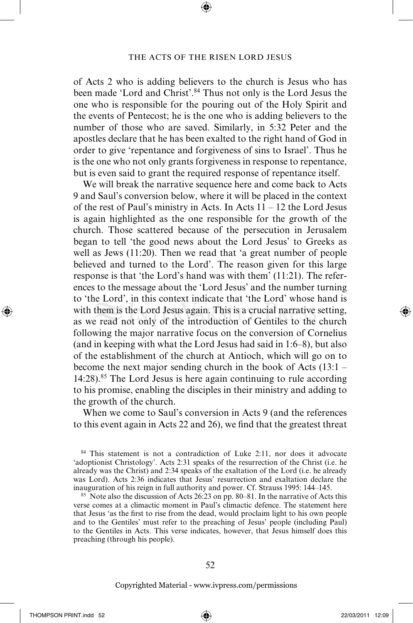of Acts 2 who is adding believers to the church is Jesus who has been made 'Lord and Christ'.<sup>84</sup> Thus not only is the Lord Jesus the one who is responsible for the pouring out of the Holy Spirit and the events of Pentecost; he is the one who is adding believers to the number of those who are saved. Similarly, in 5:32 Peter and the apostles declare that he has been exalted to the right hand of God in order to give 'repentance and forgiveness of sins to Israel'. Thus he is the one who not only grants forgiveness in response to repentance, but is even said to grant the required response of repentance itself.

We will break the narrative sequence here and come back to Acts 9 and Saul's conversion below, where it will be placed in the context of the rest of Paul's ministry in Acts. In Acts  $11 - 12$  the Lord Jesus is again highlighted as the one responsible for the growth of the church. Those scattered because of the persecution in Jerusalem began to tell 'the good news about the Lord Jesus' to Greeks as well as Jews (11:20). Then we read that 'a great number of people believed and turned to the Lord'. The reason given for this large response is that 'the Lord's hand was with them' (11:21). The references to the message about the 'Lord Jesus' and the number turning to 'the Lord', in this context indicate that 'the Lord' whose hand is with them is the Lord Jesus again. This is a crucial narrative setting, as we read not only of the introduction of Gentiles to the church following the major narrative focus on the conversion of Cornelius (and in keeping with what the Lord Jesus had said in 1:6–8), but also of the establishment of the church at Antioch, which will go on to become the next major sending church in the book of Acts (13:1 – 14:28).85 The Lord Jesus is here again continuing to rule according to his promise, enabling the disciples in their ministry and adding to the growth of the church.

When we come to Saul's conversion in Acts 9 (and the references to this event again in Acts 22 and 26), we find that the greatest threat

85 Note also the discussion of Acts 26:23 on pp. 80–81. In the narrative of Acts this verse comes at a climactic moment in Paul's climactic defence. The statement here that Jesus 'as the first to rise from the dead, would proclaim light to his own people and to the Gentiles' must refer to the preaching of Jesus' people (including Paul) to the Gentiles in Acts. This verse indicates, however, that Jesus himself does this preaching (through his people).

#### Copyrighted Material - www.ivpress.com/permissions

◈

<sup>&</sup>lt;sup>84</sup> This statement is not a contradiction of Luke 2:11, nor does it advocate 'adoptionist Christology'. Acts 2:31 speaks of the resurrection of the Christ (i.e. he already was the Christ) and 2:34 speaks of the exaltation of the Lord (i.e. he already was Lord). Acts 2:36 indicates that Jesus' resurrection and exaltation declare the inauguration of his reign in full authority and power. Cf. Strauss 1995: 144–145.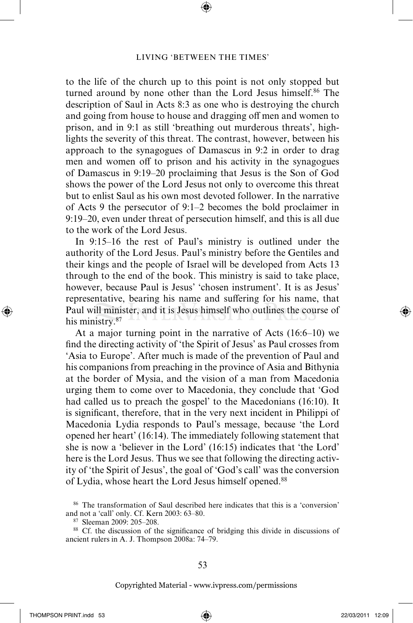to the life of the church up to this point is not only stopped but turned around by none other than the Lord Jesus himself.<sup>86</sup> The description of Saul in Acts 8:3 as one who is destroying the church and going from house to house and dragging off men and women to prison, and in 9:1 as still 'breathing out murderous threats', highlights the severity of this threat. The contrast, however, between his approach to the synagogues of Damascus in 9:2 in order to drag men and women off to prison and his activity in the synagogues of Damascus in 9:19–20 proclaiming that Jesus is the Son of God shows the power of the Lord Jesus not only to overcome this threat but to enlist Saul as his own most devoted follower. In the narrative of Acts 9 the persecutor of 9:1–2 becomes the bold proclaimer in 9:19–20, even under threat of persecution himself, and this is all due to the work of the Lord Jesus.

In 9:15–16 the rest of Paul's ministry is outlined under the authority of the Lord Jesus. Paul's ministry before the Gentiles and their kings and the people of Israel will be developed from Acts 13 through to the end of the book. This ministry is said to take place, however, because Paul is Jesus' 'chosen instrument'. It is as Jesus' representative, bearing his name and suffering for his name, that Paul will minister, and it is Jesus himself who outlines the course of his ministry.<sup>87</sup>

At a major turning point in the narrative of Acts (16:6–10) we find the directing activity of 'the Spirit of Jesus' as Paul crosses from 'Asia to Europe'. After much is made of the prevention of Paul and his companions from preaching in the province of Asia and Bithynia at the border of Mysia, and the vision of a man from Macedonia urging them to come over to Macedonia, they conclude that 'God had called us to preach the gospel' to the Macedonians (16:10). It is significant, therefore, that in the very next incident in Philippi of Macedonia Lydia responds to Paul's message, because 'the Lord opened her heart' (16:14). The immediately following statement that she is now a 'believer in the Lord' (16:15) indicates that 'the Lord' here is the Lord Jesus. Thus we see that following the directing activity of 'the Spirit of Jesus', the goal of 'God's call' was the conversion of Lydia, whose heart the Lord Jesus himself opened.88

#### Copyrighted Material - www.ivpress.com/permissions

◈

<sup>86</sup> The transformation of Saul described here indicates that this is a 'conversion' and not a 'call' only. Cf. Kern 2003: 63–80.

<sup>87</sup> Sleeman 2009: 205–208.

 $88$  Cf. the discussion of the significance of bridging this divide in discussions of ancient rulers in A. J. Thompson 2008a: 74–79.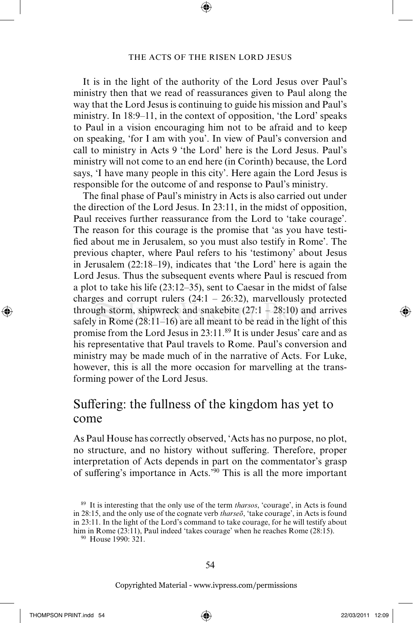⊕

It is in the light of the authority of the Lord Jesus over Paul's ministry then that we read of reassurances given to Paul along the way that the Lord Jesus is continuing to guide his mission and Paul's ministry. In 18:9–11, in the context of opposition, 'the Lord' speaks to Paul in a vision encouraging him not to be afraid and to keep on speaking, 'for I am with you'. In view of Paul's conversion and call to ministry in Acts 9 'the Lord' here is the Lord Jesus. Paul's ministry will not come to an end here (in Corinth) because, the Lord says, 'I have many people in this city'. Here again the Lord Jesus is responsible for the outcome of and response to Paul's ministry.

The final phase of Paul's ministry in Acts is also carried out under the direction of the Lord Jesus. In 23:11, in the midst of opposition, Paul receives further reassurance from the Lord to 'take courage'. The reason for this courage is the promise that 'as you have testified about me in Jerusalem, so you must also testify in Rome'. The previous chapter, where Paul refers to his 'testimony' about Jesus in Jerusalem (22:18–19), indicates that 'the Lord' here is again the Lord Jesus. Thus the subsequent events where Paul is rescued from a plot to take his life (23:12–35), sent to Caesar in the midst of false charges and corrupt rulers  $(24:1 - 26:32)$ , marvellously protected through storm, shipwreck and snakebite  $(27.1 - 28.10)$  and arrives safely in Rome (28:11–16) are all meant to be read in the light of this promise from the Lord Jesus in 23:11.89 It is under Jesus' care and as his representative that Paul travels to Rome. Paul's conversion and ministry may be made much of in the narrative of Acts. For Luke, however, this is all the more occasion for marvelling at the transforming power of the Lord Jesus.

## Suffering: the fullness of the kingdom has yet to come

As Paul House has correctly observed, 'Acts has no purpose, no plot, no structure, and no history without suffering. Therefore, proper interpretation of Acts depends in part on the commentator's grasp of suffering's importance in Acts.'90 This is all the more important

#### Copyrighted Material - www.ivpress.com/permissions

◈

<sup>89</sup> It is interesting that the only use of the term *tharsos*, 'courage', in Acts is found in 28:15, and the only use of the cognate verb *tharseō*, 'take courage', in Acts is found in 23:11. In the light of the Lord's command to take courage, for he will testify about him in Rome (23:11), Paul indeed 'takes courage' when he reaches Rome (28:15).

<sup>&</sup>lt;sup>90</sup> House 1990: 321.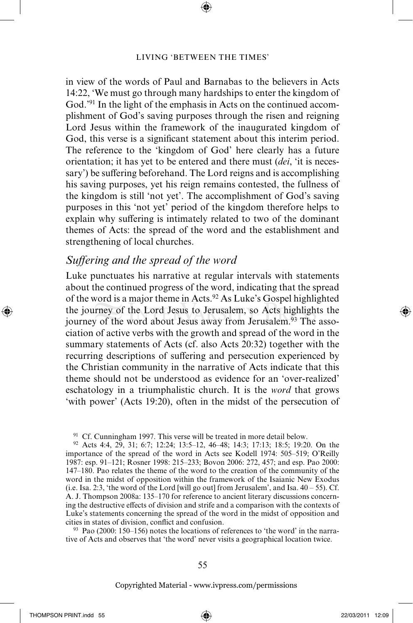in view of the words of Paul and Barnabas to the believers in Acts 14:22, 'We must go through many hardships to enter the kingdom of God.'91 In the light of the emphasis in Acts on the continued accomplishment of God's saving purposes through the risen and reigning Lord Jesus within the framework of the inaugurated kingdom of God, this verse is a significant statement about this interim period. The reference to the 'kingdom of God' here clearly has a future orientation; it has yet to be entered and there must (*dei*, 'it is necessary') be suffering beforehand. The Lord reigns and is accomplishing his saving purposes, yet his reign remains contested, the fullness of the kingdom is still 'not yet'. The accomplishment of God's saving purposes in this 'not yet' period of the kingdom therefore helps to explain why suffering is intimately related to two of the dominant themes of Acts: the spread of the word and the establishment and strengthening of local churches.

## *Suff ering and the spread of the word*

Luke punctuates his narrative at regular intervals with statements about the continued progress of the word, indicating that the spread of the word is a major theme in Acts.92 As Luke's Gospel highlighted the journey of the Lord Jesus to Jerusalem, so Acts highlights the journey of the word about Jesus away from Jerusalem.<sup>93</sup> The association of active verbs with the growth and spread of the word in the summary statements of Acts (cf. also Acts 20:32) together with the recurring descriptions of suffering and persecution experienced by the Christian community in the narrative of Acts indicate that this theme should not be understood as evidence for an 'over-realized' eschatology in a triumphalistic church. It is the *word* that grows 'with power' (Acts 19:20), often in the midst of the persecution of

 $91$  Cf. Cunningham 1997. This verse will be treated in more detail below.

92 Acts 4:4, 29, 31; 6:7; 12:24; 13:5–12, 46–48; 14:3; 17:13; 18:5; 19:20. On the importance of the spread of the word in Acts see Kodell 1974: 505–519; O'Reilly 1987: esp. 91–121; Rosner 1998: 215–233; Bovon 2006: 272, 457; and esp. Pao 2000: 147–180. Pao relates the theme of the word to the creation of the community of the word in the midst of opposition within the framework of the Isaianic New Exodus (i.e. Isa. 2:3, 'the word of the Lord [will go out] from Jerusalem', and Isa.  $40 - 55$ ). Cf. A. J. Thompson 2008a: 135–170 for reference to ancient literary discussions concerning the destructive effects of division and strife and a comparison with the contexts of Luke's statements concerning the spread of the word in the midst of opposition and cities in states of division, conflict and confusion.

93 Pao (2000: 150–156) notes the locations of references to 'the word' in the narrative of Acts and observes that 'the word' never visits a geographical location twice.

#### Copyrighted Material - www.ivpress.com/permissions

◈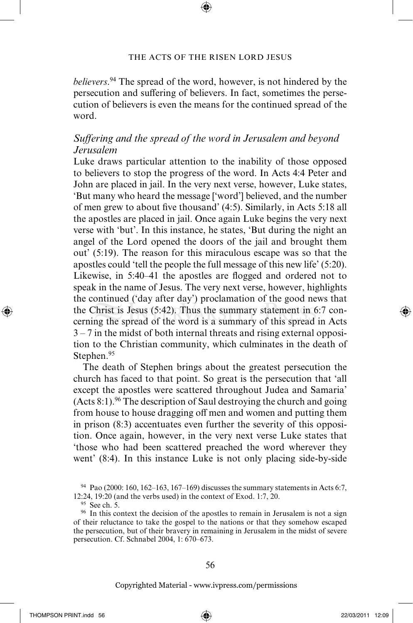*believers*. 94 The spread of the word, however, is not hindered by the persecution and suffering of believers. In fact, sometimes the persecution of believers is even the means for the continued spread of the word.

## *Suffering and the spread of the word in Jerusalem and beyond Jerusalem*

Luke draws particular attention to the inability of those opposed to believers to stop the progress of the word. In Acts 4:4 Peter and John are placed in jail. In the very next verse, however, Luke states, 'But many who heard the message ['word'] believed, and the number of men grew to about five thousand' (4:5). Similarly, in Acts 5:18 all the apostles are placed in jail. Once again Luke begins the very next verse with 'but'. In this instance, he states, 'But during the night an angel of the Lord opened the doors of the jail and brought them out' (5:19). The reason for this miraculous escape was so that the apostles could 'tell the people the full message of this new life' (5:20). Likewise, in 5:40-41 the apostles are flogged and ordered not to speak in the name of Jesus. The very next verse, however, highlights the continued ('day after day') proclamation of the good news that the Christ is Jesus (5:42). Thus the summary statement in 6:7 concerning the spread of the word is a summary of this spread in Acts  $3 - 7$  in the midst of both internal threats and rising external opposition to the Christian community, which culminates in the death of Stephen.<sup>95</sup>

The death of Stephen brings about the greatest persecution the church has faced to that point. So great is the persecution that 'all except the apostles were scattered throughout Judea and Samaria'  $(Acts 8:1).<sup>96</sup>$  The description of Saul destroying the church and going from house to house dragging off men and women and putting them in prison (8:3) accentuates even further the severity of this opposition. Once again, however, in the very next verse Luke states that 'those who had been scattered preached the word wherever they went' (8:4). In this instance Luke is not only placing side-by-side

#### Copyrighted Material - www.ivpress.com/permissions

◈

<sup>&</sup>lt;sup>94</sup> Pao (2000: 160, 162–163, 167–169) discusses the summary statements in Acts 6:7, 12:24, 19:20 (and the verbs used) in the context of Exod. 1:7, 20.

<sup>95</sup> See ch. 5.

<sup>&</sup>lt;sup>96</sup> In this context the decision of the apostles to remain in Jerusalem is not a sign of their reluctance to take the gospel to the nations or that they somehow escaped the persecution, but of their bravery in remaining in Jerusalem in the midst of severe persecution. Cf. Schnabel 2004, 1: 670–673.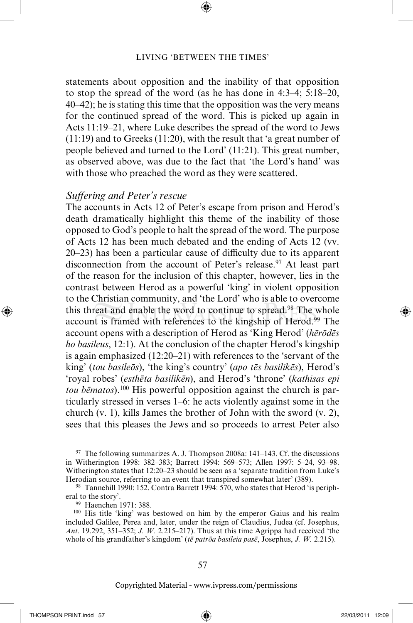statements about opposition and the inability of that opposition to stop the spread of the word (as he has done in 4:3–4; 5:18–20, 40–42); he is stating this time that the opposition was the very means for the continued spread of the word. This is picked up again in Acts 11:19–21, where Luke describes the spread of the word to Jews (11:19) and to Greeks (11:20), with the result that 'a great number of people believed and turned to the Lord' (11:21). This great number, as observed above, was due to the fact that 'the Lord's hand' was with those who preached the word as they were scattered.

#### *Suff ering and Peter's rescue*

The accounts in Acts 12 of Peter's escape from prison and Herod's death dramatically highlight this theme of the inability of those opposed to God's people to halt the spread of the word. The purpose of Acts 12 has been much debated and the ending of Acts 12 (vv.  $20-23$ ) has been a particular cause of difficulty due to its apparent disconnection from the account of Peter's release.<sup>97</sup> At least part of the reason for the inclusion of this chapter, however, lies in the contrast between Herod as a powerful 'king' in violent opposition to the Christian community, and 'the Lord' who is able to overcome this threat and enable the word to continue to spread.98 The whole account is framed with references to the kingship of Herod.<sup>99</sup> The account opens with a description of Herod as 'King Herod' (*hērōdēs ho basileus*, 12:1). At the conclusion of the chapter Herod's kingship is again emphasized (12:20–21) with references to the 'servant of the king' (*tou basileōs*), 'the king's country' (*apo tēs basilikēs*), Herod's 'royal robes' (*esthēta basilikēn*), and Herod's 'throne' (*kathisas epi tou bēmatos*).100 His powerful opposition against the church is particularly stressed in verses 1–6: he acts violently against some in the church (v. 1), kills James the brother of John with the sword (v. 2), sees that this pleases the Jews and so proceeds to arrest Peter also

 $97$  The following summarizes A. J. Thompson 2008a: 141–143. Cf. the discussions in Witherington 1998: 382–383; Barrett 1994: 569–573; Allen 1997: 5–24, 93–98. Witherington states that 12:20–23 should be seen as a 'separate tradition from Luke's

Herodian source, referring to an event that transpired somewhat later' (389).<br><sup>98</sup> Tannehill 1990: 152. Contra Barrett 1994: 570, who states that Herod 'is periph-<br>eral to the story'.

<sup>99</sup> Haenchen 1971: 388.  $100$  His title 'king' was bestowed on him by the emperor Gaius and his realm included Galilee, Perea and, later, under the reign of Claudius, Judea (cf. Josephus, *Ant*. 19.292, 351–352; *J. W.* 2.215–217). Thus at this time Agrippa had received 'the whole of his grandfather's kingdom' (*tē patrōa basileia pasē*, Josephus, *J. W.* 2.215).

◈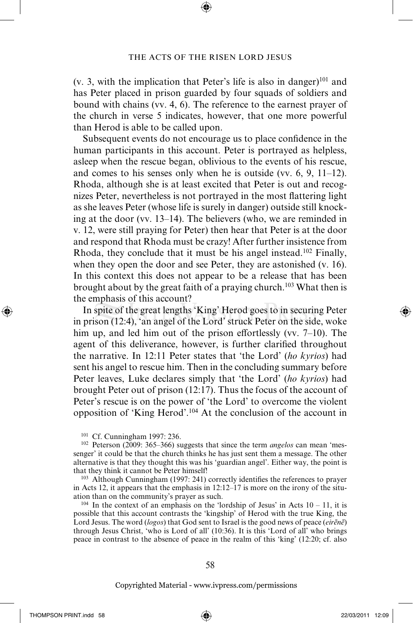(v. 3, with the implication that Peter's life is also in danger)<sup>101</sup> and has Peter placed in prison guarded by four squads of soldiers and bound with chains (vv. 4, 6). The reference to the earnest prayer of the church in verse 5 indicates, however, that one more powerful than Herod is able to be called upon.

Subsequent events do not encourage us to place confidence in the human participants in this account. Peter is portrayed as helpless, asleep when the rescue began, oblivious to the events of his rescue, and comes to his senses only when he is outside (vv. 6, 9, 11–12). Rhoda, although she is at least excited that Peter is out and recognizes Peter, nevertheless is not portrayed in the most flattering light as she leaves Peter (whose life is surely in danger) outside still knocking at the door (vv. 13–14). The believers (who, we are reminded in v. 12, were still praying for Peter) then hear that Peter is at the door and respond that Rhoda must be crazy! After further insistence from Rhoda, they conclude that it must be his angel instead.102 Finally, when they open the door and see Peter, they are astonished (v. 16). In this context this does not appear to be a release that has been brought about by the great faith of a praying church.<sup>103</sup> What then is the emphasis of this account?

In spite of the great lengths 'King' Herod goes to in securing Peter in prison (12:4), 'an angel of the Lord' struck Peter on the side, woke him up, and led him out of the prison effortlessly (vv.  $7-10$ ). The agent of this deliverance, however, is further clarified throughout the narrative. In 12:11 Peter states that 'the Lord' (*ho kyrios*) had sent his angel to rescue him. Then in the concluding summary before Peter leaves, Luke declares simply that 'the Lord' (*ho kyrios*) had brought Peter out of prison (12:17). Thus the focus of the account of Peter's rescue is on the power of 'the Lord' to overcome the violent opposition of 'King Herod'.104 At the conclusion of the account in

 $103$  Although Cunningham (1997: 241) correctly identifies the references to prayer in Acts 12, it appears that the emphasis in  $12:12-17$  is more on the irony of the situation than on the community's prayer as such.

 $104$  In the context of an emphasis on the 'lordship of Jesus' in Acts  $10 - 11$ , it is possible that this account contrasts the 'kingship' of Herod with the true King, the Lord Jesus. The word (*logos*) that God sent to Israel is the good news of peace (*eirēnē*) through Jesus Christ, 'who is Lord of all' (10:36). It is this 'Lord of all' who brings peace in contrast to the absence of peace in the realm of this 'king' (12:20; cf. also

◈

<sup>101</sup> Cf. Cunningham 1997: 236.

<sup>102</sup> Peterson (2009: 365–366) suggests that since the term *angelos* can mean 'messenger' it could be that the church thinks he has just sent them a message. The other alternative is that they thought this was his 'guardian angel'. Either way, the point is that they think it cannot be Peter himself!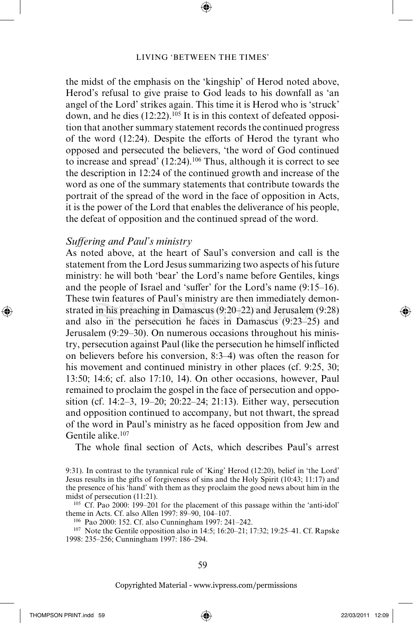the midst of the emphasis on the 'kingship' of Herod noted above, Herod's refusal to give praise to God leads to his downfall as 'an angel of the Lord' strikes again. This time it is Herod who is 'struck' down, and he dies  $(12:22)$ .<sup>105</sup> It is in this context of defeated opposition that another summary statement records the continued progress of the word  $(12:24)$ . Despite the efforts of Herod the tyrant who opposed and persecuted the believers, 'the word of God continued to increase and spread' (12:24).106 Thus, although it is correct to see the description in 12:24 of the continued growth and increase of the word as one of the summary statements that contribute towards the portrait of the spread of the word in the face of opposition in Acts, it is the power of the Lord that enables the deliverance of his people, the defeat of opposition and the continued spread of the word.

#### *Suff ering and Paul's ministry*

As noted above, at the heart of Saul's conversion and call is the statement from the Lord Jesus summarizing two aspects of his future ministry: he will both 'bear' the Lord's name before Gentiles, kings and the people of Israel and 'suffer' for the Lord's name  $(9:15-16)$ . These twin features of Paul's ministry are then immediately demonstrated in his preaching in Damascus (9:20–22) and Jerusalem (9:28) and also in the persecution he faces in Damascus (9:23–25) and Jerusalem (9:29–30). On numerous occasions throughout his ministry, persecution against Paul (like the persecution he himself inflicted on believers before his conversion, 8:3–4) was often the reason for his movement and continued ministry in other places (cf. 9:25, 30; 13:50; 14:6; cf. also 17:10, 14). On other occasions, however, Paul remained to proclaim the gospel in the face of persecution and opposition (cf. 14:2–3, 19–20; 20:22–24; 21:13). Either way, persecution and opposition continued to accompany, but not thwart, the spread of the word in Paul's ministry as he faced opposition from Jew and Gentile alike.107

The whole final section of Acts, which describes Paul's arrest

105 Cf. Pao 2000: 199–201 for the placement of this passage within the 'anti-idol' theme in Acts. Cf. also Allen 1997: 89–90, 104–107.

106 Pao 2000: 152. Cf. also Cunningham 1997: 241–242.

107 Note the Gentile opposition also in 14:5; 16:20–21; 17:32; 19:25–41. Cf. Rapske 1998: 235–256; Cunningham 1997: 186–294.

#### 59

#### Copyrighted Material - www.ivpress.com/permissions

◈

<sup>9:31).</sup> In contrast to the tyrannical rule of 'King' Herod (12:20), belief in 'the Lord' Jesus results in the gifts of forgiveness of sins and the Holy Spirit (10:43; 11:17) and the presence of his 'hand' with them as they proclaim the good news about him in the midst of persecution (11:21).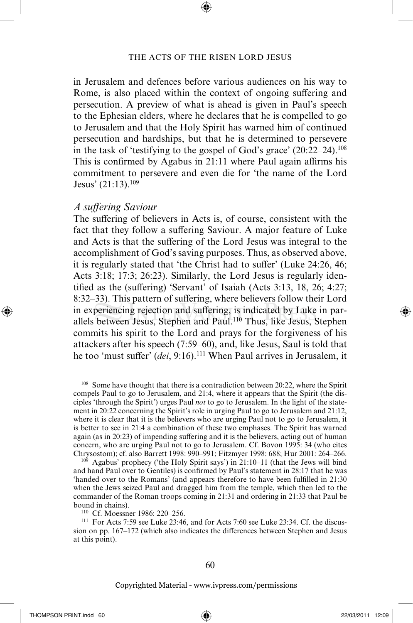in Jerusalem and defences before various audiences on his way to Rome, is also placed within the context of ongoing suffering and persecution. A preview of what is ahead is given in Paul's speech to the Ephesian elders, where he declares that he is compelled to go to Jerusalem and that the Holy Spirit has warned him of continued persecution and hardships, but that he is determined to persevere in the task of 'testifying to the gospel of God's grace' (20:22–24).108 This is confirmed by Agabus in 21:11 where Paul again affirms his commitment to persevere and even die for 'the name of the Lord Jesus' (21:13).109

#### *A suff ering Saviour*

The suffering of believers in Acts is, of course, consistent with the fact that they follow a suffering Saviour. A major feature of Luke and Acts is that the suffering of the Lord Jesus was integral to the accomplishment of God's saving purposes. Thus, as observed above, it is regularly stated that 'the Christ had to suffer' (Luke 24:26, 46; Acts 3:18; 17:3; 26:23). Similarly, the Lord Jesus is regularly identified as the (suffering) 'Servant' of Isaiah (Acts 3:13, 18, 26; 4:27; 8:32–33). This pattern of suffering, where believers follow their Lord in experiencing rejection and suffering, is indicated by Luke in parallels between Jesus, Stephen and Paul.110 Thus, like Jesus, Stephen commits his spirit to the Lord and prays for the forgiveness of his attackers after his speech (7:59–60), and, like Jesus, Saul is told that he too 'must suffer' (*dei*, 9:16).<sup>111</sup> When Paul arrives in Jerusalem, it

<sup>108</sup> Some have thought that there is a contradiction between 20:22, where the Spirit compels Paul to go to Jerusalem, and 21:4, where it appears that the Spirit (the disciples 'through the Spirit') urges Paul *not* to go to Jerusalem. In the light of the statement in 20:22 concerning the Spirit's role in urging Paul to go to Jerusalem and 21:12, where it is clear that it is the believers who are urging Paul not to go to Jerusalem, it is better to see in 21:4 a combination of these two emphases. The Spirit has warned again (as in  $20:23$ ) of impending suffering and it is the believers, acting out of human concern, who are urging Paul not to go to Jerusalem. Cf. Bovon 1995: 34 (who cites Chrysostom); cf. also Barrett 1998: 990–991; Fitzmyer 1998: 688; Hur 2001: 264–266.

109 Agabus' prophecy ('the Holy Spirit says') in 21:10–11 (that the Jews will bind and hand Paul over to Gentiles) is confirmed by Paul's statement in 28:17 that he was 'handed over to the Romans' (and appears therefore to have been fulfilled in  $21:30$ when the Jews seized Paul and dragged him from the temple, which then led to the commander of the Roman troops coming in 21:31 and ordering in 21:33 that Paul be bound in chains).

110 Cf. Moessner 1986: 220–256.

111 For Acts 7:59 see Luke 23:46, and for Acts 7:60 see Luke 23:34. Cf. the discussion on pp.  $167-172$  (which also indicates the differences between Stephen and Jesus at this point).

#### 60

#### Copyrighted Material - www.ivpress.com/permissions

◈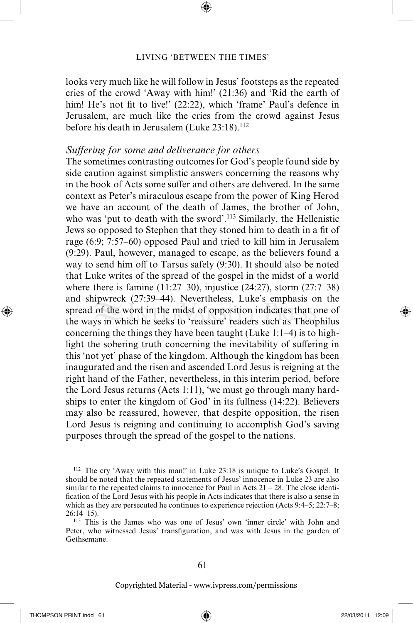looks very much like he will follow in Jesus' footsteps as the repeated cries of the crowd 'Away with him!' (21:36) and 'Rid the earth of him! He's not fit to live!' (22:22), which 'frame' Paul's defence in Jerusalem, are much like the cries from the crowd against Jesus before his death in Jerusalem (Luke 23:18).<sup>112</sup>

### *Suff ering for some and deliverance for others*

The sometimes contrasting outcomes for God's people found side by side caution against simplistic answers concerning the reasons why in the book of Acts some suffer and others are delivered. In the same context as Peter's miraculous escape from the power of King Herod we have an account of the death of James, the brother of John, who was 'put to death with the sword'.<sup>113</sup> Similarly, the Hellenistic Jews so opposed to Stephen that they stoned him to death in a fit of rage (6:9; 7:57–60) opposed Paul and tried to kill him in Jerusalem (9:29). Paul, however, managed to escape, as the believers found a way to send him off to Tarsus safely (9:30). It should also be noted that Luke writes of the spread of the gospel in the midst of a world where there is famine  $(11:27-30)$ , injustice  $(24:27)$ , storm  $(27:7-38)$ and shipwreck (27:39–44). Nevertheless, Luke's emphasis on the spread of the word in the midst of opposition indicates that one of the ways in which he seeks to 'reassure' readers such as Theophilus concerning the things they have been taught (Luke 1:1–4) is to highlight the sobering truth concerning the inevitability of suffering in this 'not yet' phase of the kingdom. Although the kingdom has been inaugurated and the risen and ascended Lord Jesus is reigning at the right hand of the Father, nevertheless, in this interim period, before the Lord Jesus returns (Acts 1:11), 'we must go through many hardships to enter the kingdom of God' in its fullness (14:22). Believers may also be reassured, however, that despite opposition, the risen Lord Jesus is reigning and continuing to accomplish God's saving purposes through the spread of the gospel to the nations.

#### Copyrighted Material - www.ivpress.com/permissions

◈

<sup>112</sup> The cry 'Away with this man!' in Luke 23:18 is unique to Luke's Gospel. It should be noted that the repeated statements of Jesus' innocence in Luke 23 are also similar to the repeated claims to innocence for Paul in Acts  $21 - 28$ . The close identification of the Lord Jesus with his people in Acts indicates that there is also a sense in which as they are persecuted he continues to experience rejection (Acts 9:4–5; 22:7–8; 26:14–15).

<sup>113</sup> This is the James who was one of Jesus' own 'inner circle' with John and Peter, who witnessed Jesus' transfiguration, and was with Jesus in the garden of Gethsemane.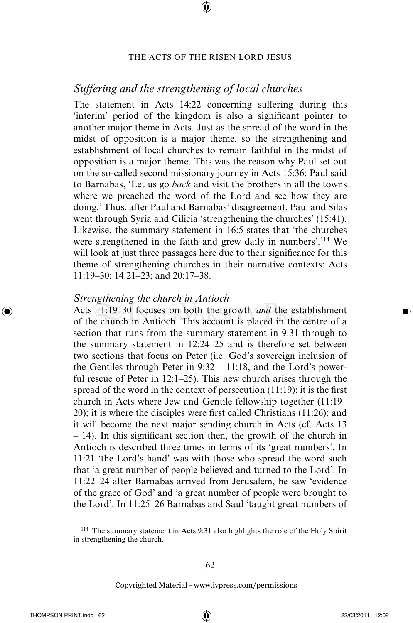⊕

## *Suff ering and the strengthening of local churches*

The statement in Acts 14:22 concerning suffering during this 'interim' period of the kingdom is also a significant pointer to another major theme in Acts. Just as the spread of the word in the midst of opposition is a major theme, so the strengthening and establishment of local churches to remain faithful in the midst of opposition is a major theme. This was the reason why Paul set out on the so-called second missionary journey in Acts 15:36: Paul said to Barnabas, 'Let us go *back* and visit the brothers in all the towns where we preached the word of the Lord and see how they are doing.' Thus, after Paul and Barnabas' disagreement, Paul and Silas went through Syria and Cilicia 'strengthening the churches' (15:41). Likewise, the summary statement in 16:5 states that 'the churches were strengthened in the faith and grew daily in numbers'.114 We will look at just three passages here due to their significance for this theme of strengthening churches in their narrative contexts: Acts 11:19–30; 14:21–23; and 20:17–38.

#### *Strengthening the church in Antioch*

Acts 11:19–30 focuses on both the growth *and* the establishment of the church in Antioch. This account is placed in the centre of a section that runs from the summary statement in 9:31 through to the summary statement in 12:24–25 and is therefore set between two sections that focus on Peter (i.e. God's sovereign inclusion of the Gentiles through Peter in 9:32 – 11:18, and the Lord's powerful rescue of Peter in 12:1–25). This new church arises through the spread of the word in the context of persecution  $(11:19)$ ; it is the first church in Acts where Jew and Gentile fellowship together (11:19– 20); it is where the disciples were first called Christians  $(11:26)$ ; and it will become the next major sending church in Acts (cf. Acts 13  $-14$ ). In this significant section then, the growth of the church in Antioch is described three times in terms of its 'great numbers'. In 11:21 'the Lord's hand' was with those who spread the word such that 'a great number of people believed and turned to the Lord'. In 11:22–24 after Barnabas arrived from Jerusalem, he saw 'evidence of the grace of God' and 'a great number of people were brought to the Lord'. In 11:25–26 Barnabas and Saul 'taught great numbers of

#### 62

#### Copyrighted Material - www.ivpress.com/permissions

◈

<sup>114</sup> The summary statement in Acts 9:31 also highlights the role of the Holy Spirit in strengthening the church.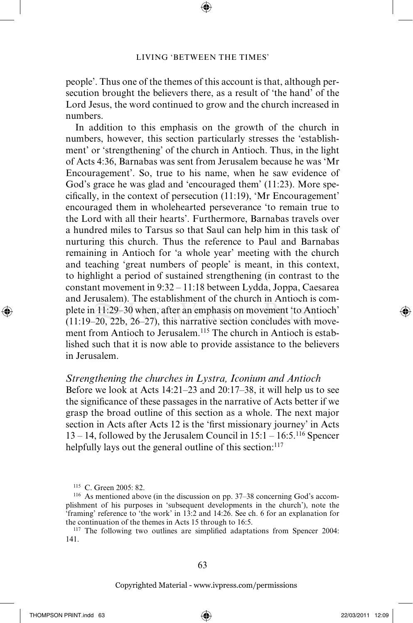people'. Thus one of the themes of this account is that, although persecution brought the believers there, as a result of 'the hand' of the Lord Jesus, the word continued to grow and the church increased in numbers.

In addition to this emphasis on the growth of the church in numbers, however, this section particularly stresses the 'establishment' or 'strengthening' of the church in Antioch. Thus, in the light of Acts 4:36, Barnabas was sent from Jerusalem because he was 'Mr Encouragement'. So, true to his name, when he saw evidence of God's grace he was glad and 'encouraged them' (11:23). More specifically, in the context of persecution  $(11:19)$ , 'Mr Encouragement' encouraged them in wholehearted perseverance 'to remain true to the Lord with all their hearts'. Furthermore, Barnabas travels over a hundred miles to Tarsus so that Saul can help him in this task of nurturing this church. Thus the reference to Paul and Barnabas remaining in Antioch for 'a whole year' meeting with the church and teaching 'great numbers of people' is meant, in this context, to highlight a period of sustained strengthening (in contrast to the constant movement in 9:32 – 11:18 between Lydda, Joppa, Caesarea and Jerusalem). The establishment of the church in Antioch is complete in 11:29–30 when, after an emphasis on movement 'to Antioch' (11:19–20, 22b, 26–27), this narrative section concludes with movement from Antioch to Jerusalem.115 The church in Antioch is established such that it is now able to provide assistance to the believers in Jerusalem.

#### *Strengthening the churches in Lystra, Iconium and Antioch*

Before we look at Acts 14:21–23 and 20:17–38, it will help us to see the significance of these passages in the narrative of Acts better if we grasp the broad outline of this section as a whole. The next major section in Acts after Acts 12 is the 'first missionary journey' in Acts  $13 - 14$ , followed by the Jerusalem Council in  $15:1 - 16:5$ <sup>116</sup> Spencer helpfully lays out the general outline of this section: $117$ 

#### Copyrighted Material - www.ivpress.com/permissions

◈

<sup>115</sup> C. Green 2005: 82.

<sup>116</sup> As mentioned above (in the discussion on pp. 37–38 concerning God's accomplishment of his purposes in 'subsequent developments in the church'), note the 'framing' reference to 'the work' in 13:2 and 14:26. See ch. 6 for an explanation for the continuation of the themes in Acts 15 through to 16:5.

 $117$  The following two outlines are simplified adaptations from Spencer 2004: 141.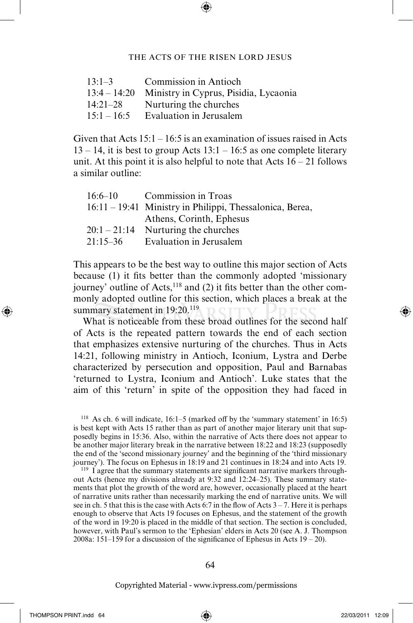| $13:1-3$       | Commission in Antioch                 |
|----------------|---------------------------------------|
| $13:4 - 14:20$ | Ministry in Cyprus, Pisidia, Lycaonia |
| $14:21 - 28$   | Nurturing the churches                |
| $15:1 - 16:5$  | Evaluation in Jerusalem               |
|                |                                       |

Given that Acts  $15:1 - 16:5$  is an examination of issues raised in Acts  $13 - 14$ , it is best to group Acts  $13:1 - 16:5$  as one complete literary unit. At this point it is also helpful to note that  $Acts 16 - 21$  follows a similar outline:

| $16:6 - 10$ | Commission in Troas                                      |
|-------------|----------------------------------------------------------|
|             | 16:11 – 19:41 Ministry in Philippi, Thessalonica, Berea, |
|             | Athens, Corinth, Ephesus                                 |
|             | $20:1-21:14$ Nurturing the churches                      |
| 21:15–36    | Evaluation in Jerusalem                                  |
|             |                                                          |

This appears to be the best way to outline this major section of Acts because (1) it fits better than the commonly adopted 'missionary journey' outline of Acts, $118$  and (2) it fits better than the other commonly adopted outline for this section, which places a break at the summary statement in 19:20.<sup>119</sup>

What is noticeable from these broad outlines for the second half of Acts is the repeated pattern towards the end of each section that emphasizes extensive nurturing of the churches. Thus in Acts 14:21, following ministry in Antioch, Iconium, Lystra and Derbe characterized by persecution and opposition, Paul and Barnabas 'returned to Lystra, Iconium and Antioch'. Luke states that the aim of this 'return' in spite of the opposition they had faced in

 $118$  As ch. 6 will indicate, 16:1–5 (marked off by the 'summary statement' in 16:5) is best kept with Acts 15 rather than as part of another major literary unit that supposedly begins in 15:36. Also, within the narrative of Acts there does not appear to be another major literary break in the narrative between 18:22 and 18:23 (supposedly the end of the 'second missionary journey' and the beginning of the 'third missionary journey'). The focus on Ephesus in 18:19 and 21 continues in 18:24 and into Acts 19.

 $119$  I agree that the summary statements are significant narrative markers throughout Acts (hence my divisions already at 9:32 and 12:24–25). These summary statements that plot the growth of the word are, however, occasionally placed at the heart of narrative units rather than necessarily marking the end of narrative units. We will see in ch. 5 that this is the case with Acts 6:7 in the flow of Acts  $3 - 7$ . Here it is perhaps enough to observe that Acts 19 focuses on Ephesus, and the statement of the growth of the word in 19:20 is placed in the middle of that section. The section is concluded, however, with Paul's sermon to the 'Ephesian' elders in Acts 20 (see A. J. Thompson 2008a:  $151-159$  for a discussion of the significance of Ephesus in Acts  $19-20$ ).

64

◈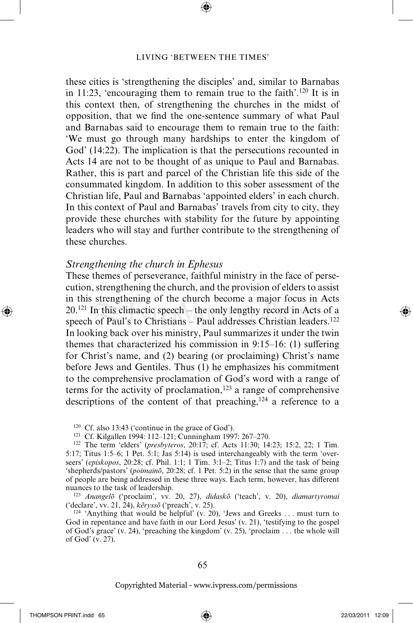these cities is 'strengthening the disciples' and, similar to Barnabas in 11:23, 'encouraging them to remain true to the faith'.120 It is in this context then, of strengthening the churches in the midst of opposition, that we find the one-sentence summary of what Paul and Barnabas said to encourage them to remain true to the faith: 'We must go through many hardships to enter the kingdom of God' (14:22). The implication is that the persecutions recounted in Acts 14 are not to be thought of as unique to Paul and Barnabas. Rather, this is part and parcel of the Christian life this side of the consummated kingdom. In addition to this sober assessment of the Christian life, Paul and Barnabas 'appointed elders' in each church. In this context of Paul and Barnabas' travels from city to city, they provide these churches with stability for the future by appointing leaders who will stay and further contribute to the strengthening of these churches.

#### *Strengthening the church in Ephesus*

These themes of perseverance, faithful ministry in the face of persecution, strengthening the church, and the provision of elders to assist in this strengthening of the church become a major focus in Acts  $20^{121}$  In this climactic speech – the only lengthy record in Acts of a speech of Paul's to Christians – Paul addresses Christian leaders.<sup>122</sup> In looking back over his ministry, Paul summarizes it under the twin themes that characterized his commission in  $9:15-16$ : (1) suffering for Christ's name, and (2) bearing (or proclaiming) Christ's name before Jews and Gentiles. Thus (1) he emphasizes his commitment to the comprehensive proclamation of God's word with a range of terms for the activity of proclamation, $123$  a range of comprehensive descriptions of the content of that preaching,124 a reference to a

120 Cf. also 13:43 ('continue in the grace of God').

121 Cf. Kilgallen 1994: 112–121; Cunningham 1997: 267–270.

122 The term 'elders' (*presbyteros*, 20:17; cf. Acts 11:30; 14:23; 15:2, 22; 1 Tim. 5:17; Titus 1:5–6; 1 Pet. 5:1; Jas 5:14) is used interchangeably with the term 'overseers' (*episkopos*, 20:28; cf. Phil. 1:1; 1 Tim. 3:1–2; Titus 1:7) and the task of being 'shepherds/pastors' (*poimainō*, 20:28; cf. 1 Pet. 5:2) in the sense that the same group of people are being addressed in these three ways. Each term, however, has different nuances to the task of leadership.

<sup>123</sup> *Anangelō* ('proclaim', vv. 20, 27), *didaskō* ('teach', v. 20), *diamartyromai* ('declare', vv. 21, 24), *kēryssō* ('preach', v. 25).

<sup>124</sup> 'Anything that would be helpful' (v. 20), 'Jews and Greeks . . . must turn to God in repentance and have faith in our Lord Jesus' (v. 21), 'testifying to the gospel of God's grace' (v. 24), 'preaching the kingdom' (v. 25), 'proclaim . . . the whole will of God' (v. 27).

65

◈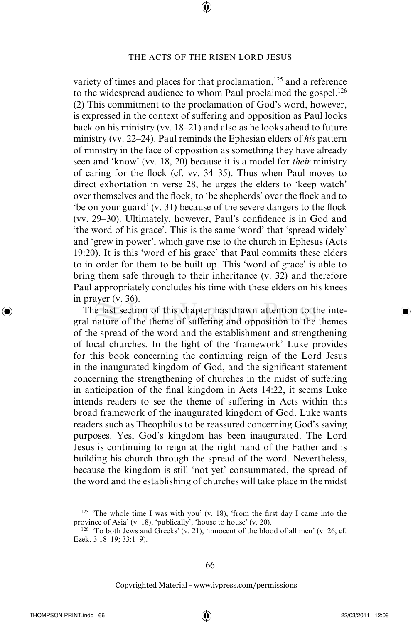⊕

variety of times and places for that proclamation,<sup>125</sup> and a reference to the widespread audience to whom Paul proclaimed the gospel.126 (2) This commitment to the proclamation of God's word, however, is expressed in the context of suffering and opposition as Paul looks back on his ministry (vv. 18–21) and also as he looks ahead to future ministry (vv. 22–24). Paul reminds the Ephesian elders of *his* pattern of ministry in the face of opposition as something they have already seen and 'know' (vv. 18, 20) because it is a model for *their* ministry of caring for the flock (cf. vv.  $34-35$ ). Thus when Paul moves to direct exhortation in verse 28, he urges the elders to 'keep watch' over themselves and the flock, to 'be shepherds' over the flock and to 'be on your guard'  $(v, 31)$  because of the severe dangers to the flock (vv. 29–30). Ultimately, however, Paul's confidence is in God and 'the word of his grace'. This is the same 'word' that 'spread widely' and 'grew in power', which gave rise to the church in Ephesus (Acts 19:20). It is this 'word of his grace' that Paul commits these elders to in order for them to be built up. This 'word of grace' is able to bring them safe through to their inheritance (v. 32) and therefore Paul appropriately concludes his time with these elders on his knees in prayer (v. 36).

The last section of this chapter has drawn attention to the integral nature of the theme of suffering and opposition to the themes of the spread of the word and the establishment and strengthening of local churches. In the light of the 'framework' Luke provides for this book concerning the continuing reign of the Lord Jesus in the inaugurated kingdom of God, and the significant statement concerning the strengthening of churches in the midst of suffering in anticipation of the final kingdom in Acts 14:22, it seems Luke intends readers to see the theme of suffering in Acts within this broad framework of the inaugurated kingdom of God. Luke wants readers such as Theophilus to be reassured concerning God's saving purposes. Yes, God's kingdom has been inaugurated. The Lord Jesus is continuing to reign at the right hand of the Father and is building his church through the spread of the word. Nevertheless, because the kingdom is still 'not yet' consummated, the spread of the word and the establishing of churches will take place in the midst

#### 66

#### Copyrighted Material - www.ivpress.com/permissions

⊕

 $125$  'The whole time I was with you' (v. 18), 'from the first day I came into the province of Asia' (v. 18), 'publically', 'house to house' (v. 20).

 $126$  'To both Jews and Greeks' (v. 21), 'innocent of the blood of all men' (v. 26; cf. Ezek. 3:18–19; 33:1–9).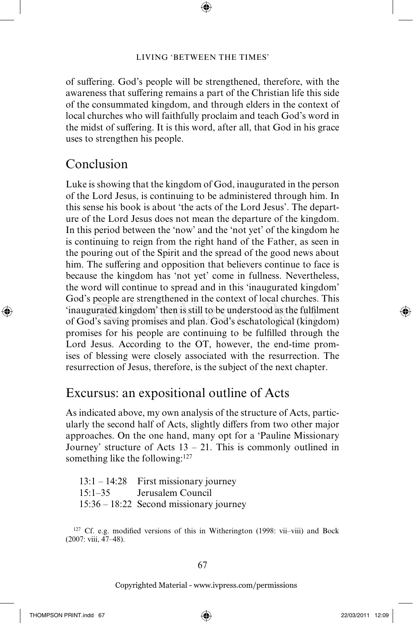⊕

of suffering. God's people will be strengthened, therefore, with the awareness that suffering remains a part of the Christian life this side of the consummated kingdom, and through elders in the context of local churches who will faithfully proclaim and teach God's word in the midst of suffering. It is this word, after all, that God in his grace uses to strengthen his people.

## Conclusion

◈

Luke is showing that the kingdom of God, inaugurated in the person of the Lord Jesus, is continuing to be administered through him. In this sense his book is about 'the acts of the Lord Jesus'. The departure of the Lord Jesus does not mean the departure of the kingdom. In this period between the 'now' and the 'not yet' of the kingdom he is continuing to reign from the right hand of the Father, as seen in the pouring out of the Spirit and the spread of the good news about him. The suffering and opposition that believers continue to face is because the kingdom has 'not yet' come in fullness. Nevertheless, the word will continue to spread and in this 'inaugurated kingdom' God's people are strengthened in the context of local churches. This 'inaugurated kingdom' then is still to be understood as the fulfilment of God's saving promises and plan. God's eschatological (kingdom) promises for his people are continuing to be fulfilled through the Lord Jesus. According to the OT, however, the end-time promises of blessing were closely associated with the resurrection. The resurrection of Jesus, therefore, is the subject of the next chapter.

## Excursus: an expositional outline of Acts

As indicated above, my own analysis of the structure of Acts, particularly the second half of Acts, slightly differs from two other major approaches. On the one hand, many opt for a 'Pauline Missionary Journey' structure of Acts  $13 - 21$ . This is commonly outlined in something like the following: $127$ 

13:1 – 14:28 First missionary journey 15:1–35 Jerusalem Council 15:36 – 18:22 Second missionary journey

 $127$  Cf. e.g. modified versions of this in Witherington (1998: vii–viii) and Bock (2007: viii, 47–48).

#### 67

#### Copyrighted Material - www.ivpress.com/permissions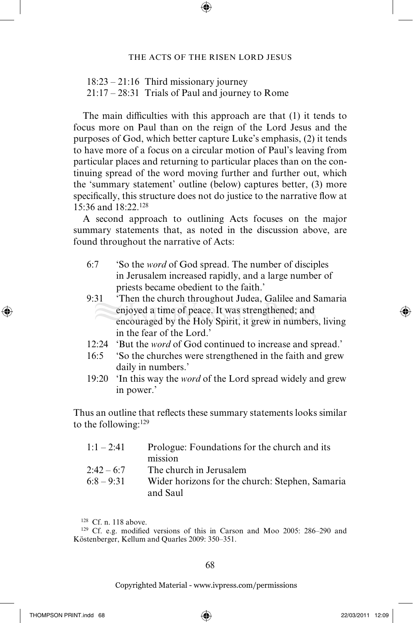⊕

18:23 – 21:16 Third missionary journey 21:17 – 28:31 Trials of Paul and journey to Rome

The main difficulties with this approach are that  $(1)$  it tends to focus more on Paul than on the reign of the Lord Jesus and the purposes of God, which better capture Luke's emphasis, (2) it tends to have more of a focus on a circular motion of Paul's leaving from particular places and returning to particular places than on the continuing spread of the word moving further and further out, which the 'summary statement' outline (below) captures better, (3) more specifically, this structure does not do justice to the narrative flow at 15:36 and 18:22.128

A second approach to outlining Acts focuses on the major summary statements that, as noted in the discussion above, are found throughout the narrative of Acts:

- 6:7 'So the *word* of God spread. The number of disciples in Jerusalem increased rapidly, and a large number of priests became obedient to the faith.'
- 9:31 'Then the church throughout Judea, Galilee and Samaria enjoyed a time of peace. It was strengthened; and encouraged by the Holy Spirit, it grew in numbers, living in the fear of the Lord.'
- 12:24 'But the *word* of God continued to increase and spread.'
- 16:5 'So the churches were strengthened in the faith and grew daily in numbers.'
- 19:20 'In this way the *word* of the Lord spread widely and grew in power.'

Thus an outline that reflects these summary statements looks similar to the following:129

| $1:1 - 2:41$ | Prologue: Foundations for the church and its    |
|--------------|-------------------------------------------------|
|              | mission                                         |
| $2:42-6:7$   | The church in Jerusalem                         |
| $6:8 - 9:31$ | Wider horizons for the church: Stephen, Samaria |
|              | and Saul                                        |

128 Cf. n. 118 above.

 $129$  Cf. e.g. modified versions of this in Carson and Moo 2005: 286–290 and Köstenberger, Kellum and Quarles 2009: 350–351.

68

#### Copyrighted Material - www.ivpress.com/permissions

◈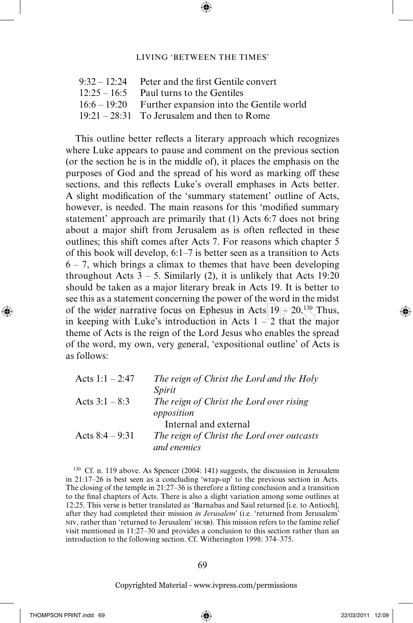| $9:32-12:24$ Peter and the first Gentile convert        |
|---------------------------------------------------------|
| $12:25-16:5$ Paul turns to the Gentiles                 |
| $16.6 - 19.20$ Further expansion into the Gentile world |
| $19:21 - 28:31$ To Jerusalem and then to Rome           |

This outline better reflects a literary approach which recognizes where Luke appears to pause and comment on the previous section (or the section he is in the middle of), it places the emphasis on the purposes of God and the spread of his word as marking off these sections, and this reflects Luke's overall emphases in Acts better. A slight modification of the 'summary statement' outline of Acts, however, is needed. The main reasons for this 'modified summary statement' approach are primarily that (1) Acts 6:7 does not bring about a major shift from Jerusalem as is often reflected in these outlines; this shift comes after Acts 7. For reasons which chapter 5 of this book will develop, 6:1–7 is better seen as a transition to Acts  $6 - 7$ , which brings a climax to themes that have been developing throughout Acts  $3 - 5$ . Similarly (2), it is unlikely that Acts 19:20 should be taken as a major literary break in Acts 19. It is better to see this as a statement concerning the power of the word in the midst of the wider narrative focus on Ephesus in Acts  $19 - 20$ .<sup>130</sup> Thus, in keeping with Luke's introduction in Acts  $1 - 2$  that the major theme of Acts is the reign of the Lord Jesus who enables the spread of the word, my own, very general, 'expositional outline' of Acts is as follows:

| Acts $1:1 - 2:47$ | The reign of Christ the Lord and the Holy  |
|-------------------|--------------------------------------------|
|                   | Spirit                                     |
| Acts $3:1 - 8:3$  | The reign of Christ the Lord over rising   |
|                   | opposition                                 |
|                   | Internal and external                      |
| Acts $8:4-9:31$   | The reign of Christ the Lord over outcasts |
|                   | and enemies                                |

130 Cf. n. 119 above. As Spencer (2004: 141) suggests, the discussion in Jerusalem in 21:17–26 is best seen as a concluding 'wrap-up' to the previous section in Acts. The closing of the temple in  $21:27-36$  is therefore a fitting conclusion and a transition to the final chapters of Acts. There is also a slight variation among some outlines at 12:25. This verse is better translated as 'Barnabas and Saul returned [i.e. to Antioch], after they had completed their mission *in Jerusalem*' (i.e. 'returned from Jerusalem' niv, rather than 'returned to Jerusalem' hcsb). This mission refers to the famine relief visit mentioned in 11:27–30 and provides a conclusion to this section rather than an introduction to the following section. Cf. Witherington 1998: 374–375.

#### 69

#### Copyrighted Material - www.ivpress.com/permissions

◈